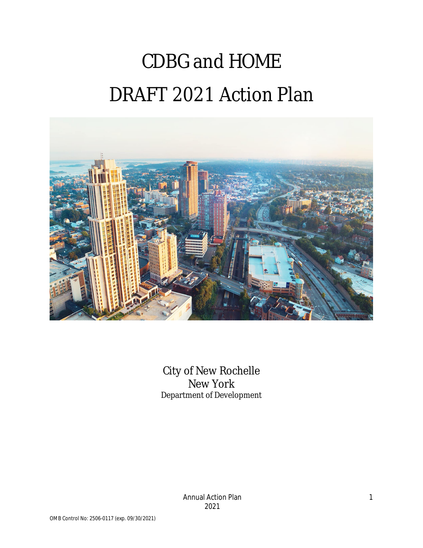# CDBG and HOME DRAFT 2021 Action Plan



City of New Rochelle New York Department of Development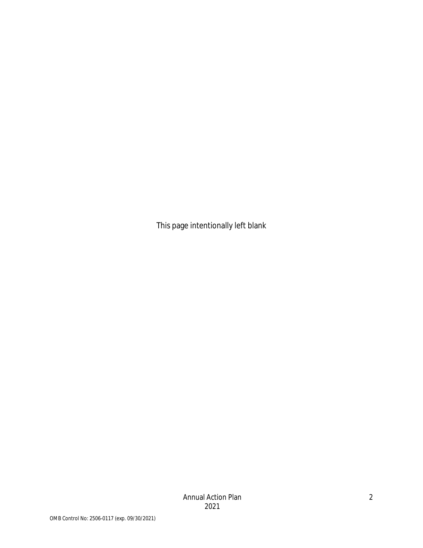This page intentionally left blank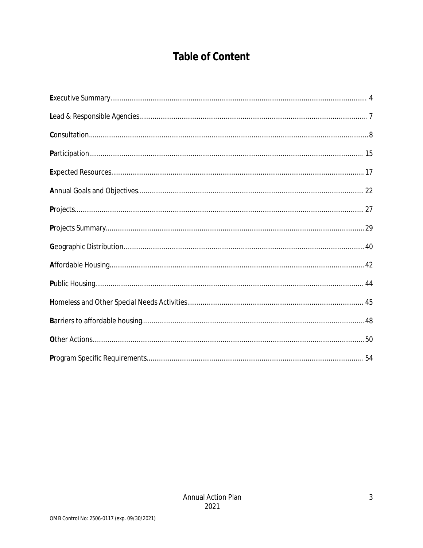# **Table of Content**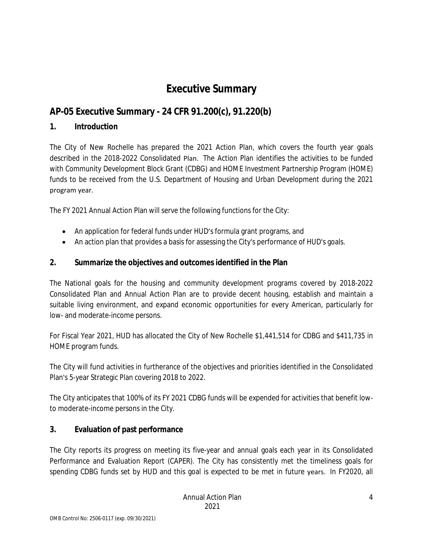# **Executive Summary**

### **AP-05 Executive Summary - 24 CFR 91.200(c), 91.220(b)**

#### **1. Introduction**

The City of New Rochelle has prepared the 2021 Action Plan, which covers the fourth year goals described in the 2018-2022 Consolidated Plan. The Action Plan identifies the activities to be funded with Community Development Block Grant (CDBG) and HOME Investment Partnership Program (HOME) funds to be received from the U.S. Department of Housing and Urban Development during the 2021 program year.

The FY 2021 Annual Action Plan will serve the following functions for the City:

- An application for federal funds under HUD's formula grant programs, and
- An action plan that provides a basis for assessing the City's performance of HUD's goals.

#### **2. Summarize the objectives and outcomes identified in the Plan**

The National goals for the housing and community development programs covered by 2018-2022 Consolidated Plan and Annual Action Plan are to provide decent housing, establish and maintain a suitable living environment, and expand economic opportunities for every American, particularly for low- and moderate-income persons.

For Fiscal Year 2021, HUD has allocated the City of New Rochelle \$1,441,514 for CDBG and \$411,735 in HOME program funds.

The City will fund activities in furtherance of the objectives and priorities identified in the Consolidated Plan's 5-year Strategic Plan covering 2018 to 2022.

The City anticipates that 100% of its FY 2021 CDBG funds will be expended for activities that benefit lowto moderate-income persons in the City.

#### **3. Evaluation of past performance**

The City reports its progress on meeting its five-year and annual goals each year in its Consolidated Performance and Evaluation Report (CAPER). The City has consistently met the timeliness goals for spending CDBG funds set by HUD and this goal is expected to be met in future years. In FY2020, all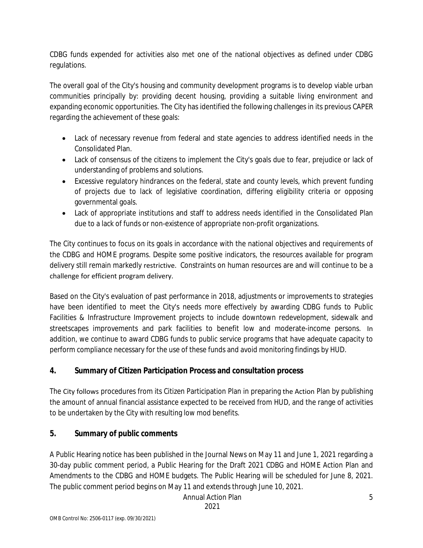CDBG funds expended for activities also met one of the national objectives as defined under CDBG regulations.

The overall goal of the City's housing and community development programs is to develop viable urban communities principally by: providing decent housing, providing a suitable living environment and expanding economic opportunities. The City has identified the following challenges in its previous CAPER regarding the achievement of these goals:

- Lack of necessary revenue from federal and state agencies to address identified needs in the Consolidated Plan.
- Lack of consensus of the citizens to implement the City's goals due to fear, prejudice or lack of understanding of problems and solutions.
- Excessive regulatory hindrances on the federal, state and county levels, which prevent funding of projects due to lack of legislative coordination, differing eligibility criteria or opposing governmental goals.
- Lack of appropriate institutions and staff to address needs identified in the Consolidated Plan due to a lack of funds or non-existence of appropriate non-profit organizations.

The City continues to focus on its goals in accordance with the national objectives and requirements of the CDBG and HOME programs. Despite some positive indicators, the resources available for program delivery still remain markedly restrictive. Constraints on human resources are and will continue to be a challenge for efficient program delivery.

Based on the City's evaluation of past performance in 2018, adjustments or improvements to strategies have been identified to meet the City's needs more effectively by awarding CDBG funds to Public Facilities & Infrastructure Improvement projects to include downtown redevelopment, sidewalk and streetscapes improvements and park facilities to benefit low and moderate-income persons. In addition, we continue to award CDBG funds to public service programs that have adequate capacity to perform compliance necessary for the use of these funds and avoid monitoring findings by HUD.

#### **4. Summary of Citizen Participation Process and consultation process**

The City follows procedures from its Citizen Participation Plan in preparing the Action Plan by publishing the amount of annual financial assistance expected to be received from HUD, and the range of activities to be undertaken by the City with resulting low mod benefits.

### **5. Summary of public comments**

A Public Hearing notice has been published in the Journal News on May 11 and June 1, 2021 regarding a 30-day public comment period, a Public Hearing for the Draft 2021 CDBG and HOME Action Plan and Amendments to the CDBG and HOME budgets. The Public Hearing will be scheduled for June 8, 2021. The public comment period begins on May 11 and extends through June 10, 2021.

Annual Action Plan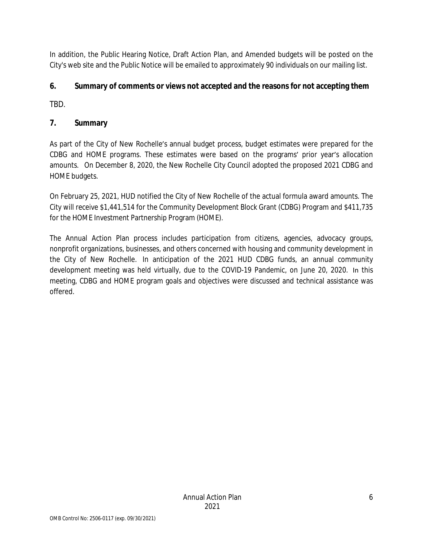In addition, the Public Hearing Notice, Draft Action Plan, and Amended budgets will be posted on the City's web site and the Public Notice will be emailed to approximately 90 individuals on our mailing list.

### **6. Summary of comments or views not accepted and the reasons for not accepting them**

TBD.

#### **7. Summary**

As part of the City of New Rochelle's annual budget process, budget estimates were prepared for the CDBG and HOME programs. These estimates were based on the programs' prior year's allocation amounts. On December 8, 2020, the New Rochelle City Council adopted the proposed 2021 CDBG and HOME budgets.

On February 25, 2021, HUD notified the City of New Rochelle of the actual formula award amounts. The City will receive \$1,441,514 for the Community Development Block Grant (CDBG) Program and \$411,735 for the HOME Investment Partnership Program (HOME).

The Annual Action Plan process includes participation from citizens, agencies, advocacy groups, nonprofit organizations, businesses, and others concerned with housing and community development in the City of New Rochelle. In anticipation of the 2021 HUD CDBG funds, an annual community development meeting was held virtually, due to the COVID-19 Pandemic, on June 20, 2020. In this meeting, CDBG and HOME program goals and objectives were discussed and technical assistance was offered.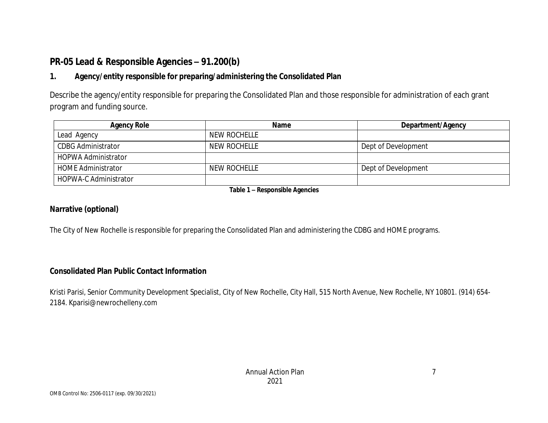# **PR-05 Lead & Responsible Agencies – 91.200(b)**

### **1. Agency/entity responsible for preparing/administering the Consolidated Plan**

Describe the agency/entity responsible for preparing the Consolidated Plan and those responsible for administration of each grant program and funding source.

| <b>Agency Role</b>         | <b>Name</b>  | Department/Agency   |  |  |
|----------------------------|--------------|---------------------|--|--|
| Lead Agency                | NEW ROCHELLE |                     |  |  |
| <b>CDBG Administrator</b>  | NEW ROCHELLE | Dept of Development |  |  |
| <b>HOPWA Administrator</b> |              |                     |  |  |
| <b>HOME Administrator</b>  | NEW ROCHELLE | Dept of Development |  |  |
| HOPWA-C Administrator      |              |                     |  |  |

**Table 1 – Responsible Agencies**

#### **Narrative (optional)**

The City of New Rochelle is responsible for preparing the Consolidated Plan and administering the CDBG and HOME programs.

#### **Consolidated Plan Public Contact Information**

Kristi Parisi, Senior Community Development Specialist, City of New Rochelle, City Hall, 515 North Avenue, New Rochelle, NY 10801. (914) 654- 2184. Kparisi@newrochelleny.com

7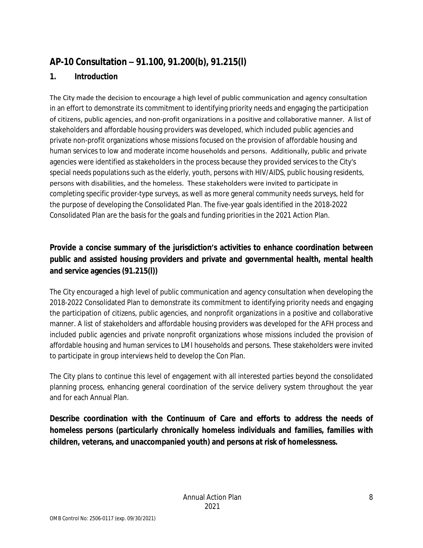# **AP-10 Consultation – 91.100, 91.200(b), 91.215(l)**

#### **1. Introduction**

The City made the decision to encourage a high level of public communication and agency consultation in an effort to demonstrate its commitment to identifying priority needs and engaging the participation of citizens, public agencies, and non-profit organizations in a positive and collaborative manner. A list of stakeholders and affordable housing providers was developed, which included public agencies and private non-profit organizations whose missions focused on the provision of affordable housing and human services to low and moderate income households and persons. Additionally, public and private agencies were identified as stakeholders in the process because they provided services to the City's special needs populations such as the elderly, youth, persons with HIV/AIDS, public housing residents, persons with disabilities, and the homeless. These stakeholders were invited to participate in completing specific provider-type surveys, as well as more general community needs surveys, held for the purpose of developing the Consolidated Plan. The five-year goals identified in the 2018-2022 Consolidated Plan are the basis for the goals and funding priorities in the 2021 Action Plan.

### **Provide a concise summary of the jurisdiction's activities to enhance coordination between public and assisted housing providers and private and governmental health, mental health and service agencies (91.215(l))**

The City encouraged a high level of public communication and agency consultation when developing the 2018-2022 Consolidated Plan to demonstrate its commitment to identifying priority needs and engaging the participation of citizens, public agencies, and nonprofit organizations in a positive and collaborative manner. A list of stakeholders and affordable housing providers was developed for the AFH process and included public agencies and private nonprofit organizations whose missions included the provision of affordable housing and human services to LMI households and persons. These stakeholders were invited to participate in group interviews held to develop the Con Plan.

The City plans to continue this level of engagement with all interested parties beyond the consolidated planning process, enhancing general coordination of the service delivery system throughout the year and for each Annual Plan.

**Describe coordination with the Continuum of Care and efforts to address the needs of homeless persons (particularly chronically homeless individuals and families, families with children, veterans, and unaccompanied youth) and persons at risk of homelessness.**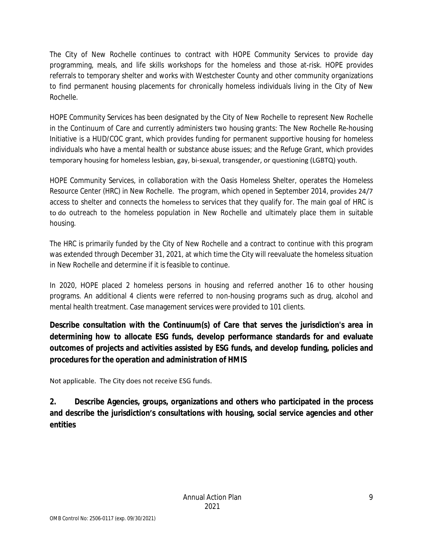The City of New Rochelle continues to contract with HOPE Community Services to provide day programming, meals, and life skills workshops for the homeless and those at-risk. HOPE provides referrals to temporary shelter and works with Westchester County and other community organizations to find permanent housing placements for chronically homeless individuals living in the City of New Rochelle.

HOPE Community Services has been designated by the City of New Rochelle to represent New Rochelle in the Continuum of Care and currently administers two housing grants: The New Rochelle Re-housing Initiative is a HUD/COC grant, which provides funding for permanent supportive housing for homeless individuals who have a mental health or substance abuse issues; and the Refuge Grant, which provides temporary housing for homeless lesbian, gay, bi-sexual, transgender, or questioning (LGBTQ) youth.

HOPE Community Services, in collaboration with the Oasis Homeless Shelter, operates the Homeless Resource Center (HRC) in New Rochelle. The program, which opened in September 2014, provides 24/7 access to shelter and connects the homeless to services that they qualify for. The main goal of HRC is to do outreach to the homeless population in New Rochelle and ultimately place them in suitable housing.

The HRC is primarily funded by the City of New Rochelle and a contract to continue with this program was extended through December 31, 2021, at which time the City will reevaluate the homeless situation in New Rochelle and determine if it is feasible to continue.

In 2020, HOPE placed 2 homeless persons in housing and referred another 16 to other housing programs. An additional 4 clients were referred to non-housing programs such as drug, alcohol and mental health treatment. Case management services were provided to 101 clients.

**Describe consultation with the Continuum(s) of Care that serves the jurisdiction's area in determining how to allocate ESG funds, develop performance standards for and evaluate outcomes of projects and activities assisted by ESG funds, and develop funding, policies and procedures for the operation and administration of HMIS**

Not applicable. The City does not receive ESG funds.

**2. Describe Agencies, groups, organizations and others who participated in the process and describe the jurisdiction's consultations with housing, social service agencies and other entities**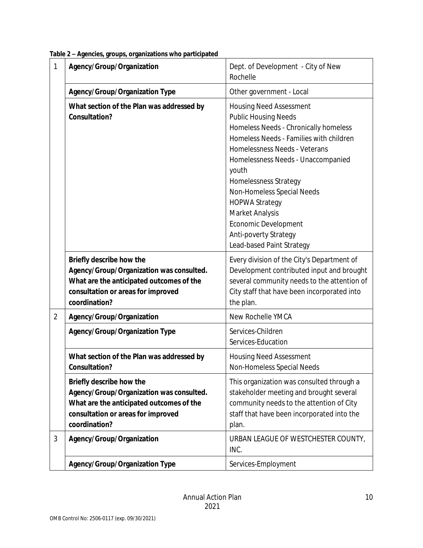| 1              | Agency/Group/Organization                                                                                                                                               | Dept. of Development - City of New<br>Rochelle                                                                                                                                                                                                                                                                                                                                                                            |  |  |
|----------------|-------------------------------------------------------------------------------------------------------------------------------------------------------------------------|---------------------------------------------------------------------------------------------------------------------------------------------------------------------------------------------------------------------------------------------------------------------------------------------------------------------------------------------------------------------------------------------------------------------------|--|--|
|                | Agency/Group/Organization Type                                                                                                                                          | Other government - Local                                                                                                                                                                                                                                                                                                                                                                                                  |  |  |
|                | What section of the Plan was addressed by<br><b>Consultation?</b>                                                                                                       | <b>Housing Need Assessment</b><br><b>Public Housing Needs</b><br>Homeless Needs - Chronically homeless<br>Homeless Needs - Families with children<br>Homelessness Needs - Veterans<br>Homelessness Needs - Unaccompanied<br>youth<br>Homelessness Strategy<br>Non-Homeless Special Needs<br><b>HOPWA Strategy</b><br>Market Analysis<br><b>Economic Development</b><br>Anti-poverty Strategy<br>Lead-based Paint Strategy |  |  |
|                | Briefly describe how the<br>Agency/Group/Organization was consulted.<br>What are the anticipated outcomes of the<br>consultation or areas for improved<br>coordination? | Every division of the City's Department of<br>Development contributed input and brought<br>several community needs to the attention of<br>City staff that have been incorporated into<br>the plan.                                                                                                                                                                                                                        |  |  |
| $\overline{2}$ | Agency/Group/Organization                                                                                                                                               | New Rochelle YMCA                                                                                                                                                                                                                                                                                                                                                                                                         |  |  |
|                | Agency/Group/Organization Type                                                                                                                                          | Services-Children<br>Services-Education                                                                                                                                                                                                                                                                                                                                                                                   |  |  |
|                | What section of the Plan was addressed by<br>Consultation?                                                                                                              | <b>Housing Need Assessment</b><br>Non-Homeless Special Needs                                                                                                                                                                                                                                                                                                                                                              |  |  |
|                | Briefly describe how the<br>Agency/Group/Organization was consulted.<br>What are the anticipated outcomes of the<br>consultation or areas for improved<br>coordination? | This organization was consulted through a<br>stakeholder meeting and brought several<br>community needs to the attention of City<br>staff that have been incorporated into the<br>plan.                                                                                                                                                                                                                                   |  |  |
| 3              | Agency/Group/Organization                                                                                                                                               | URBAN LEAGUE OF WESTCHESTER COUNTY,<br>INC.                                                                                                                                                                                                                                                                                                                                                                               |  |  |
|                | Agency/Group/Organization Type                                                                                                                                          | Services-Employment                                                                                                                                                                                                                                                                                                                                                                                                       |  |  |

**Table 2 – Agencies, groups, organizations who participated**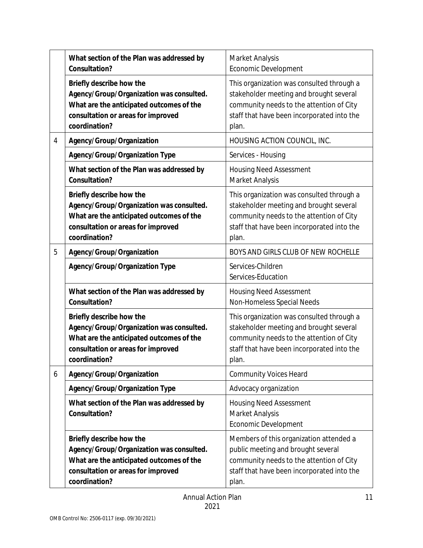|                | What section of the Plan was addressed by<br><b>Consultation?</b>                                                                                                       | Market Analysis<br>Economic Development                                                                                                                                                 |
|----------------|-------------------------------------------------------------------------------------------------------------------------------------------------------------------------|-----------------------------------------------------------------------------------------------------------------------------------------------------------------------------------------|
|                | Briefly describe how the<br>Agency/Group/Organization was consulted.<br>What are the anticipated outcomes of the<br>consultation or areas for improved<br>coordination? | This organization was consulted through a<br>stakeholder meeting and brought several<br>community needs to the attention of City<br>staff that have been incorporated into the<br>plan. |
| $\overline{4}$ | Agency/Group/Organization                                                                                                                                               | HOUSING ACTION COUNCIL, INC.                                                                                                                                                            |
|                | Agency/Group/Organization Type                                                                                                                                          | Services - Housing                                                                                                                                                                      |
|                | What section of the Plan was addressed by<br><b>Consultation?</b>                                                                                                       | <b>Housing Need Assessment</b><br>Market Analysis                                                                                                                                       |
|                | Briefly describe how the<br>Agency/Group/Organization was consulted.<br>What are the anticipated outcomes of the<br>consultation or areas for improved<br>coordination? | This organization was consulted through a<br>stakeholder meeting and brought several<br>community needs to the attention of City<br>staff that have been incorporated into the<br>plan. |
| 5              | Agency/Group/Organization                                                                                                                                               | BOYS AND GIRLS CLUB OF NEW ROCHELLE                                                                                                                                                     |
|                | Agency/Group/Organization Type                                                                                                                                          | Services-Children<br>Services-Education                                                                                                                                                 |
|                | What section of the Plan was addressed by<br><b>Consultation?</b>                                                                                                       | <b>Housing Need Assessment</b><br>Non-Homeless Special Needs                                                                                                                            |
|                | Briefly describe how the<br>Agency/Group/Organization was consulted.<br>What are the anticipated outcomes of the<br>consultation or areas for improved<br>coordination? | This organization was consulted through a<br>stakeholder meeting and brought several<br>community needs to the attention of City<br>staff that have been incorporated into the<br>plan. |
| 6              | Agency/Group/Organization                                                                                                                                               | <b>Community Voices Heard</b>                                                                                                                                                           |
|                | Agency/Group/Organization Type                                                                                                                                          | Advocacy organization                                                                                                                                                                   |
|                | What section of the Plan was addressed by<br><b>Consultation?</b>                                                                                                       | <b>Housing Need Assessment</b><br>Market Analysis<br><b>Economic Development</b>                                                                                                        |
|                | Briefly describe how the<br>Agency/Group/Organization was consulted.<br>What are the anticipated outcomes of the<br>consultation or areas for improved<br>coordination? | Members of this organization attended a<br>public meeting and brought several<br>community needs to the attention of City<br>staff that have been incorporated into the<br>plan.        |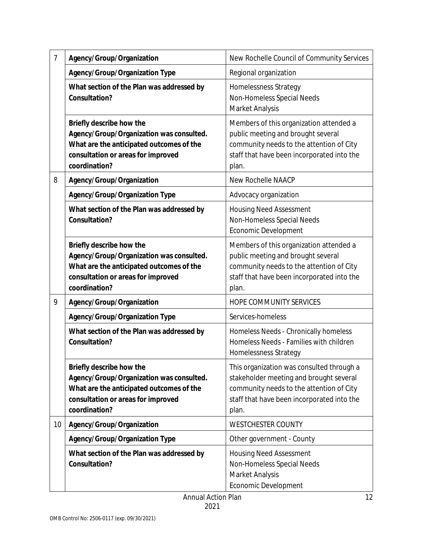| $\overline{7}$ | Agency/Group/Organization                                                                                                                                               | New Rochelle Council of Community Services                                                                                                                                              |  |  |
|----------------|-------------------------------------------------------------------------------------------------------------------------------------------------------------------------|-----------------------------------------------------------------------------------------------------------------------------------------------------------------------------------------|--|--|
|                | Agency/Group/Organization Type                                                                                                                                          | Regional organization                                                                                                                                                                   |  |  |
|                | What section of the Plan was addressed by<br><b>Consultation?</b>                                                                                                       | <b>Homelessness Strategy</b><br>Non-Homeless Special Needs<br>Market Analysis                                                                                                           |  |  |
|                | Briefly describe how the<br>Agency/Group/Organization was consulted.<br>What are the anticipated outcomes of the<br>consultation or areas for improved<br>coordination? | Members of this organization attended a<br>public meeting and brought several<br>community needs to the attention of City<br>staff that have been incorporated into the<br>plan.        |  |  |
| 8              | Agency/Group/Organization                                                                                                                                               | <b>New Rochelle NAACP</b>                                                                                                                                                               |  |  |
|                | Agency/Group/Organization Type                                                                                                                                          | Advocacy organization                                                                                                                                                                   |  |  |
|                | What section of the Plan was addressed by<br><b>Consultation?</b>                                                                                                       | <b>Housing Need Assessment</b><br>Non-Homeless Special Needs<br><b>Economic Development</b>                                                                                             |  |  |
|                | Briefly describe how the<br>Agency/Group/Organization was consulted.<br>What are the anticipated outcomes of the<br>consultation or areas for improved<br>coordination? | Members of this organization attended a<br>public meeting and brought several<br>community needs to the attention of City<br>staff that have been incorporated into the<br>plan.        |  |  |
| 9              | Agency/Group/Organization                                                                                                                                               | HOPE COMMUNITY SERVICES                                                                                                                                                                 |  |  |
|                | Agency/Group/Organization Type                                                                                                                                          | Services-homeless                                                                                                                                                                       |  |  |
|                | What section of the Plan was addressed by<br><b>Consultation?</b>                                                                                                       | Homeless Needs - Chronically homeless<br>Homeless Needs - Families with children<br>Homelessness Strategy                                                                               |  |  |
|                | Briefly describe how the<br>Agency/Group/Organization was consulted.<br>What are the anticipated outcomes of the<br>consultation or areas for improved<br>coordination? | This organization was consulted through a<br>stakeholder meeting and brought several<br>community needs to the attention of City<br>staff that have been incorporated into the<br>plan. |  |  |
| 10             | Agency/Group/Organization                                                                                                                                               | <b>WESTCHESTER COUNTY</b>                                                                                                                                                               |  |  |
|                | Agency/Group/Organization Type                                                                                                                                          | Other government - County                                                                                                                                                               |  |  |
|                | What section of the Plan was addressed by<br><b>Consultation?</b>                                                                                                       | <b>Housing Need Assessment</b><br>Non-Homeless Special Needs<br>Market Analysis<br>Economic Development                                                                                 |  |  |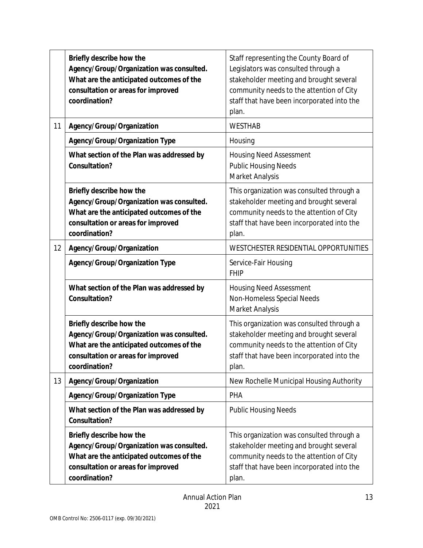|    | Briefly describe how the<br>Agency/Group/Organization was consulted.<br>What are the anticipated outcomes of the<br>consultation or areas for improved<br>coordination? | Staff representing the County Board of<br>Legislators was consulted through a<br>stakeholder meeting and brought several<br>community needs to the attention of City<br>staff that have been incorporated into the<br>plan. |
|----|-------------------------------------------------------------------------------------------------------------------------------------------------------------------------|-----------------------------------------------------------------------------------------------------------------------------------------------------------------------------------------------------------------------------|
| 11 | Agency/Group/Organization                                                                                                                                               | <b>WESTHAB</b>                                                                                                                                                                                                              |
|    | Agency/Group/Organization Type                                                                                                                                          | Housing                                                                                                                                                                                                                     |
|    | What section of the Plan was addressed by<br><b>Consultation?</b>                                                                                                       | <b>Housing Need Assessment</b><br><b>Public Housing Needs</b><br>Market Analysis                                                                                                                                            |
|    | Briefly describe how the<br>Agency/Group/Organization was consulted.<br>What are the anticipated outcomes of the<br>consultation or areas for improved<br>coordination? | This organization was consulted through a<br>stakeholder meeting and brought several<br>community needs to the attention of City<br>staff that have been incorporated into the<br>plan.                                     |
| 12 | Agency/Group/Organization                                                                                                                                               | WESTCHESTER RESIDENTIAL OPPORTUNITIES                                                                                                                                                                                       |
|    | Agency/Group/Organization Type                                                                                                                                          | Service-Fair Housing<br><b>FHIP</b>                                                                                                                                                                                         |
|    | What section of the Plan was addressed by<br><b>Consultation?</b>                                                                                                       | <b>Housing Need Assessment</b><br>Non-Homeless Special Needs<br>Market Analysis                                                                                                                                             |
|    | Briefly describe how the<br>Agency/Group/Organization was consulted.<br>What are the anticipated outcomes of the<br>consultation or areas for improved<br>coordination? | This organization was consulted through a<br>stakeholder meeting and brought several<br>community needs to the attention of City<br>staff that have been incorporated into the<br>plan.                                     |
| 13 | Agency/Group/Organization                                                                                                                                               | New Rochelle Municipal Housing Authority                                                                                                                                                                                    |
|    | Agency/Group/Organization Type                                                                                                                                          | <b>PHA</b>                                                                                                                                                                                                                  |
|    | What section of the Plan was addressed by<br><b>Consultation?</b>                                                                                                       | <b>Public Housing Needs</b>                                                                                                                                                                                                 |
|    | Briefly describe how the<br>Agency/Group/Organization was consulted.<br>What are the anticipated outcomes of the<br>consultation or areas for improved<br>coordination? | This organization was consulted through a<br>stakeholder meeting and brought several<br>community needs to the attention of City<br>staff that have been incorporated into the<br>plan.                                     |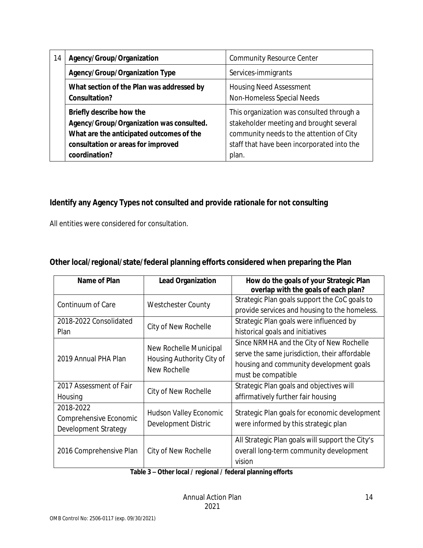| 14 | Agency/Group/Organization                                                                                                                                               | <b>Community Resource Center</b>                                                                                                                                                        |  |  |
|----|-------------------------------------------------------------------------------------------------------------------------------------------------------------------------|-----------------------------------------------------------------------------------------------------------------------------------------------------------------------------------------|--|--|
|    | Agency/Group/Organization Type                                                                                                                                          | Services-immigrants                                                                                                                                                                     |  |  |
|    | What section of the Plan was addressed by<br>Consultation?                                                                                                              | <b>Housing Need Assessment</b><br>Non-Homeless Special Needs                                                                                                                            |  |  |
|    | Briefly describe how the<br>Agency/Group/Organization was consulted.<br>What are the anticipated outcomes of the<br>consultation or areas for improved<br>coordination? | This organization was consulted through a<br>stakeholder meeting and brought several<br>community needs to the attention of City<br>staff that have been incorporated into the<br>plan. |  |  |

#### **Identify any Agency Types not consulted and provide rationale for not consulting**

All entities were considered for consultation.

| Name of Plan            | <b>Lead Organization</b>  | How do the goals of your Strategic Plan<br>overlap with the goals of each plan? |
|-------------------------|---------------------------|---------------------------------------------------------------------------------|
| Continuum of Care       | <b>Westchester County</b> | Strategic Plan goals support the CoC goals to                                   |
|                         |                           | provide services and housing to the homeless.                                   |
| 2018-2022 Consolidated  | City of New Rochelle      | Strategic Plan goals were influenced by                                         |
| Plan                    |                           | historical goals and initiatives                                                |
|                         | New Rochelle Municipal    | Since NRMHA and the City of New Rochelle                                        |
| 2019 Annual PHA Plan    | Housing Authority City of | serve the same jurisdiction, their affordable                                   |
|                         | New Rochelle              | housing and community development goals                                         |
|                         |                           | must be compatible                                                              |
| 2017 Assessment of Fair | City of New Rochelle      | Strategic Plan goals and objectives will                                        |
| Housing                 |                           | affirmatively further fair housing                                              |
| 2018-2022               | Hudson Valley Economic    | Strategic Plan goals for economic development                                   |
| Comprehensive Economic  | Development Distric       | were informed by this strategic plan                                            |
| Development Strategy    |                           |                                                                                 |
|                         |                           | All Strategic Plan goals will support the City's                                |
| 2016 Comprehensive Plan | City of New Rochelle      | overall long-term community development                                         |
|                         |                           | vision                                                                          |

#### **Other local/regional/state/federal planning efforts considered when preparing the Plan**

#### **Table 3 – Other local / regional / federal planning efforts**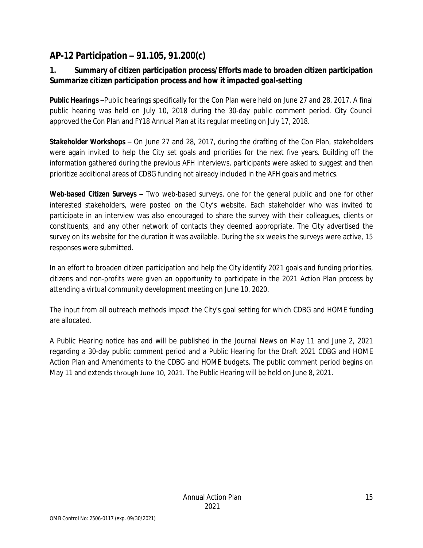### **AP-12 Participation – 91.105, 91.200(c)**

#### **1. Summary of citizen participation process/Efforts made to broaden citizen participation Summarize citizen participation process and how it impacted goal-setting**

*Public Hearings* –Public hearings specifically for the Con Plan were held on June 27 and 28, 2017. A final public hearing was held on July 10, 2018 during the 30-day public comment period. City Council approved the Con Plan and FY18 Annual Plan at its regular meeting on July 17, 2018.

*Stakeholder Workshops* – On June 27 and 28, 2017, during the drafting of the Con Plan, stakeholders were again invited to help the City set goals and priorities for the next five years. Building off the information gathered during the previous AFH interviews, participants were asked to suggest and then prioritize additional areas of CDBG funding not already included in the AFH goals and metrics.

*Web-based Citizen Surveys* – Two web-based surveys, one for the general public and one for other interested stakeholders, were posted on the City's website. Each stakeholder who was invited to participate in an interview was also encouraged to share the survey with their colleagues, clients or constituents, and any other network of contacts they deemed appropriate. The City advertised the survey on its website for the duration it was available. During the six weeks the surveys were active, 15 responses were submitted.

In an effort to broaden citizen participation and help the City identify 2021 goals and funding priorities, citizens and non-profits were given an opportunity to participate in the 2021 Action Plan process by attending a virtual community development meeting on June 10, 2020.

The input from all outreach methods impact the City's goal setting for which CDBG and HOME funding are allocated.

A Public Hearing notice has and will be published in the Journal News on May 11 and June 2, 2021 regarding a 30-day public comment period and a Public Hearing for the Draft 2021 CDBG and HOME Action Plan and Amendments to the CDBG and HOME budgets. The public comment period begins on May 11 and extends through June 10, 2021. The Public Hearing will be held on June 8, 2021.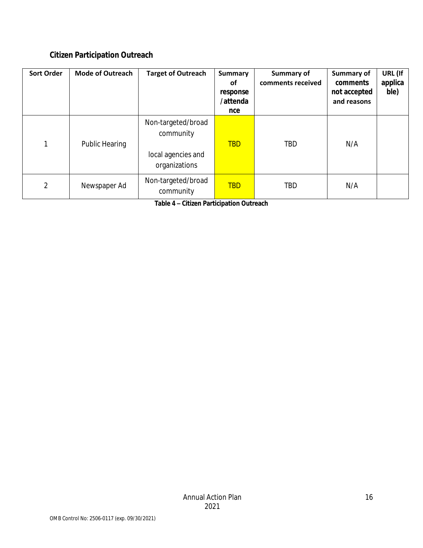### **Citizen Participation Outreach**

| <b>Sort Order</b> | <b>Mode of Outreach</b> | <b>Target of Outreach</b>                                              | <b>Summary</b><br>of<br>response<br>/attenda<br><sub>nce</sub> | <b>Summary of</b><br>comments received | Summary of<br>comments<br>not accepted<br>and reasons | URL (If<br>applica<br>ble) |
|-------------------|-------------------------|------------------------------------------------------------------------|----------------------------------------------------------------|----------------------------------------|-------------------------------------------------------|----------------------------|
| 1                 | Public Hearing          | Non-targeted/broad<br>community<br>local agencies and<br>organizations | <b>TBD</b>                                                     | <b>TBD</b>                             | N/A                                                   |                            |
| 2                 | Newspaper Ad            | Non-targeted/broad<br>community                                        | <b>TBD</b>                                                     | <b>TBD</b>                             | N/A                                                   |                            |

**Table 4 – Citizen Participation Outreach**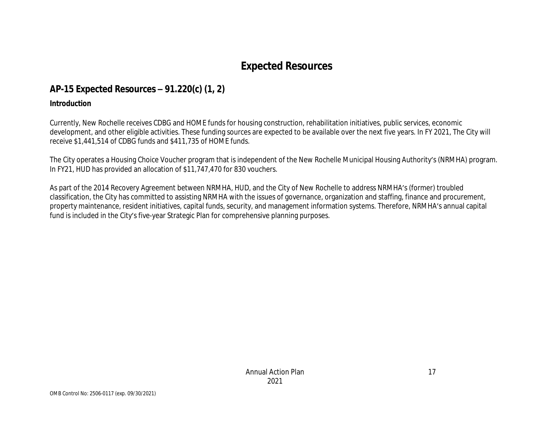# **Expected Resources**

# **AP-15 Expected Resources – 91.220(c) (1, 2)**

#### **Introduction**

Currently, New Rochelle receives CDBG and HOME funds for housing construction, rehabilitation initiatives, public services, economic development, and other eligible activities. These funding sources are expected to be available over the next five years. In FY 2021, The City will receive \$1,441,514 of CDBG funds and \$411,735 of HOME funds.

The City operates a Housing Choice Voucher program that is independent of the New Rochelle Municipal Housing Authority's (NRMHA) program. In FY21, HUD has provided an allocation of \$11,747,470 for 830 vouchers.

As part of the 2014 Recovery Agreement between NRMHA, HUD, and the City of New Rochelle to address NRMHA's (former) troubled classification, the City has committed to assisting NRMHA with the issues of governance, organization and staffing, finance and procurement, property maintenance, resident initiatives, capital funds, security, and management information systems. Therefore, NRMHA's annual capital fund is included in the City's five-year Strategic Plan for comprehensive planning purposes.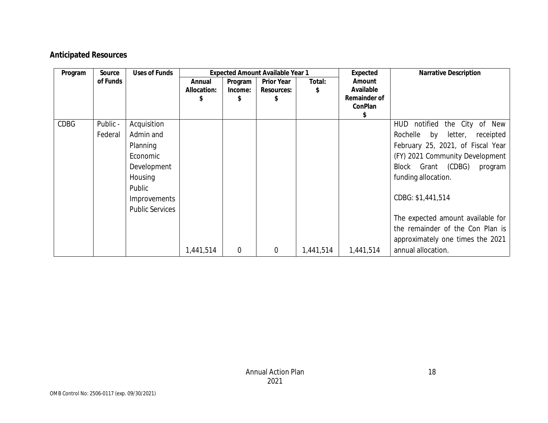# **Anticipated Resources**

| Program     | Source              | <b>Uses of Funds</b>                                                                                                                  | <b>Expected Amount Available Year 1</b> |                         |                                             | <b>Expected</b> | <b>Narrative Description</b>                   |                                                                                                                                                                                                                                                                                                                                                                      |
|-------------|---------------------|---------------------------------------------------------------------------------------------------------------------------------------|-----------------------------------------|-------------------------|---------------------------------------------|-----------------|------------------------------------------------|----------------------------------------------------------------------------------------------------------------------------------------------------------------------------------------------------------------------------------------------------------------------------------------------------------------------------------------------------------------------|
|             | of Funds            |                                                                                                                                       | Annual<br><b>Allocation:</b>            | Program<br>Income:<br>S | <b>Prior Year</b><br><b>Resources:</b><br>S | Total:          | Amount<br>Available<br>Remainder of<br>ConPlan |                                                                                                                                                                                                                                                                                                                                                                      |
| <b>CDBG</b> | Public -<br>Federal | Acquisition<br>Admin and<br>Planning<br>Economic<br>Development<br>Housing<br>Public<br><b>Improvements</b><br><b>Public Services</b> | 1,441,514                               | $\overline{0}$          | $\boldsymbol{0}$                            | 1,441,514       | 1,441,514                                      | HUD notified<br>the City of<br>New<br>Rochelle<br>letter,<br>receipted<br>by<br>February 25, 2021, of Fiscal Year<br>(FY) 2021 Community Development<br>Block Grant (CDBG)<br>program<br>funding allocation.<br>CDBG: \$1,441,514<br>The expected amount available for<br>the remainder of the Con Plan is<br>approximately one times the 2021<br>annual allocation. |
|             |                     |                                                                                                                                       |                                         |                         |                                             |                 |                                                |                                                                                                                                                                                                                                                                                                                                                                      |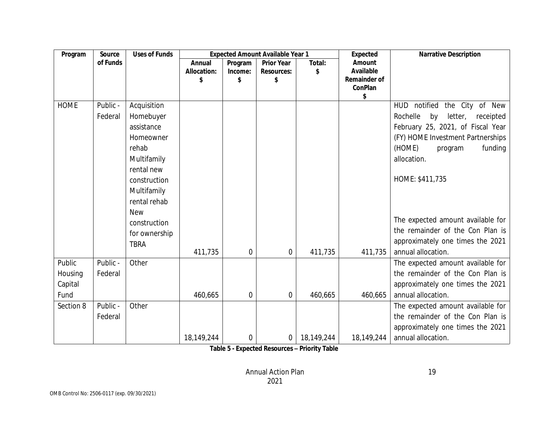| Program     | Source   | <b>Uses of Funds</b> |                          |                  | <b>Expected Amount Available Year 1</b> |            | <b>Expected</b>                  | <b>Narrative Description</b>                 |
|-------------|----------|----------------------|--------------------------|------------------|-----------------------------------------|------------|----------------------------------|----------------------------------------------|
|             | of Funds |                      | Annual                   | Program          | <b>Prior Year</b>                       | Total:     | Amount                           |                                              |
|             |          |                      | <b>Allocation:</b><br>\$ | Income:<br>\$    | <b>Resources:</b><br>\$                 | \$         | Available<br><b>Remainder of</b> |                                              |
|             |          |                      |                          |                  |                                         |            | ConPlan                          |                                              |
|             |          |                      |                          |                  |                                         |            | \$                               |                                              |
| <b>HOME</b> | Public - | Acquisition          |                          |                  |                                         |            |                                  | the City<br><b>HUD</b><br>notified<br>of New |
|             | Federal  | Homebuyer            |                          |                  |                                         |            |                                  | Rochelle<br>by<br>letter,<br>receipted       |
|             |          | assistance           |                          |                  |                                         |            |                                  | February 25, 2021, of Fiscal Year            |
|             |          | Homeowner            |                          |                  |                                         |            |                                  | (FY) HOME Investment Partnerships            |
|             |          | rehab                |                          |                  |                                         |            |                                  | funding<br>(HOME)<br>program                 |
|             |          | Multifamily          |                          |                  |                                         |            |                                  | allocation.                                  |
|             |          | rental new           |                          |                  |                                         |            |                                  |                                              |
|             |          | construction         |                          |                  |                                         |            |                                  | HOME: \$411,735                              |
|             |          | Multifamily          |                          |                  |                                         |            |                                  |                                              |
|             |          | rental rehab         |                          |                  |                                         |            |                                  |                                              |
|             |          | <b>New</b>           |                          |                  |                                         |            |                                  |                                              |
|             |          | construction         |                          |                  |                                         |            |                                  | The expected amount available for            |
|             |          | for ownership        |                          |                  |                                         |            |                                  | the remainder of the Con Plan is             |
|             |          | <b>TBRA</b>          |                          |                  |                                         |            |                                  | approximately one times the 2021             |
|             |          |                      | 411,735                  | $\boldsymbol{0}$ | $\overline{0}$                          | 411,735    | 411,735                          | annual allocation.                           |
| Public      | Public - | Other                |                          |                  |                                         |            |                                  | The expected amount available for            |
| Housing     | Federal  |                      |                          |                  |                                         |            |                                  | the remainder of the Con Plan is             |
| Capital     |          |                      |                          |                  |                                         |            |                                  | approximately one times the 2021             |
| Fund        |          |                      | 460,665                  | 0                | $\mathbf 0$                             | 460,665    | 460,665                          | annual allocation.                           |
| Section 8   | Public - | Other                |                          |                  |                                         |            |                                  | The expected amount available for            |
|             | Federal  |                      |                          |                  |                                         |            |                                  | the remainder of the Con Plan is             |
|             |          |                      |                          |                  |                                         |            |                                  | approximately one times the 2021             |
|             |          |                      | 18,149,244               | $\mathbf 0$      | $\overline{0}$                          | 18,149,244 | 18,149,244                       | annual allocation.                           |

**Table 5 - Expected Resources – Priority Table**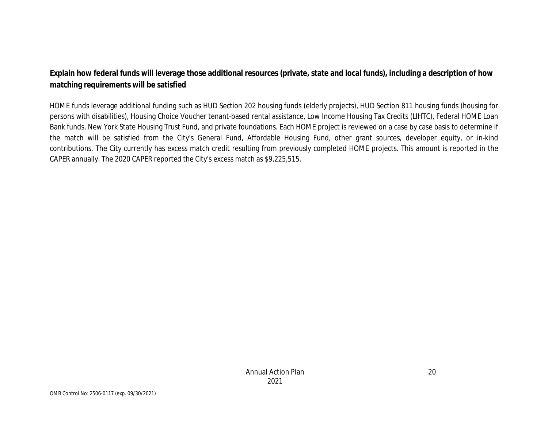### **Explain how federal funds will leverage those additional resources (private, state and local funds), including a description of how matching requirements will be satisfied**

HOME funds leverage additional funding such as HUD Section 202 housing funds (elderly projects), HUD Section 811 housing funds (housing for persons with disabilities), Housing Choice Voucher tenant-based rental assistance, Low Income Housing Tax Credits (LIHTC), Federal HOME Loan Bank funds, New York State Housing Trust Fund, and private foundations. Each HOME project is reviewed on a case by case basis to determine if the match will be satisfied from the City's General Fund, Affordable Housing Fund, other grant sources, developer equity, or in-kind contributions. The City currently has excess match credit resulting from previously completed HOME projects. This amount is reported in the CAPER annually. The 2020 CAPER reported the City's excess match as \$9,225,515.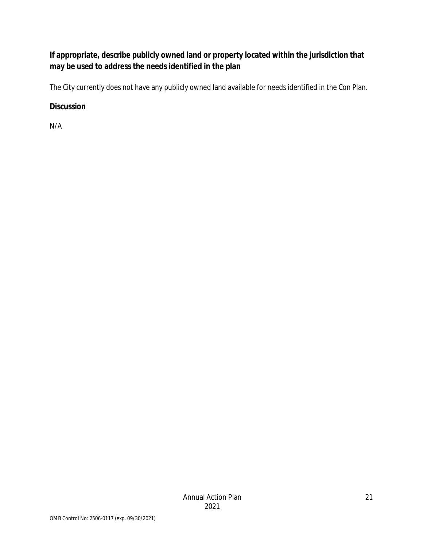### **If appropriate, describe publicly owned land or property located within the jurisdiction that may be used to address the needs identified in the plan**

The City currently does not have any publicly owned land available for needs identified in the Con Plan.

#### **Discussion**

N/A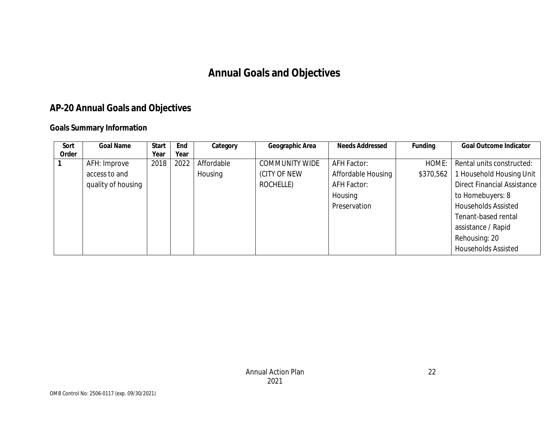# **Annual Goals and Objectives**

# **AP-20 Annual Goals and Objectives**

### **Goals Summary Information**

| Sort  | <b>Goal Name</b>   | <b>Start</b> | End  | Category   | Geographic Area       | <b>Needs Addressed</b> | <b>Funding</b> | <b>Goal Outcome Indicator</b>      |
|-------|--------------------|--------------|------|------------|-----------------------|------------------------|----------------|------------------------------------|
| Order |                    | Year         | Year |            |                       |                        |                |                                    |
|       | AFH: Improve       | 2018         | 2022 | Affordable | <b>COMMUNITY WIDE</b> | AFH Factor:            | HOME:          | Rental units constructed:          |
|       | access to and      |              |      | Housing    | (CITY OF NEW          | Affordable Housing     | \$370,562      | 1 Household Housing Unit           |
|       | quality of housing |              |      |            | ROCHELLE)             | AFH Factor:            |                | <b>Direct Financial Assistance</b> |
|       |                    |              |      |            |                       | Housing                |                | to Homebuyers: 8                   |
|       |                    |              |      |            |                       | Preservation           |                | <b>Households Assisted</b>         |
|       |                    |              |      |            |                       |                        |                | Tenant-based rental                |
|       |                    |              |      |            |                       |                        |                | assistance / Rapid                 |
|       |                    |              |      |            |                       |                        |                | Rehousing: 20                      |
|       |                    |              |      |            |                       |                        |                | <b>Households Assisted</b>         |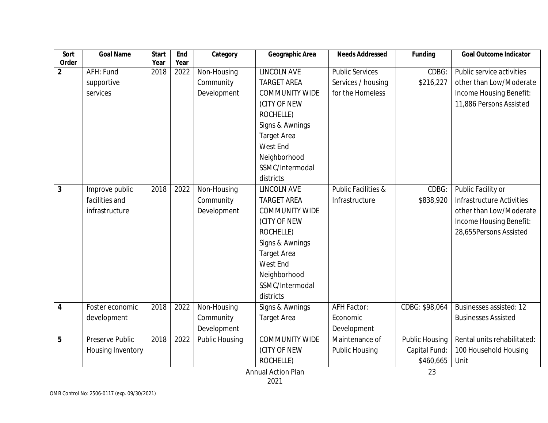| Sort                    | <b>Goal Name</b>                                   | <b>Start</b> | End          | Category                                | Geographic Area                                                                                                                                                                                                  | <b>Needs Addressed</b>                                           | Funding                                            | <b>Goal Outcome Indicator</b>                                                                                                    |
|-------------------------|----------------------------------------------------|--------------|--------------|-----------------------------------------|------------------------------------------------------------------------------------------------------------------------------------------------------------------------------------------------------------------|------------------------------------------------------------------|----------------------------------------------------|----------------------------------------------------------------------------------------------------------------------------------|
| Order<br>$\overline{2}$ | AFH: Fund<br>supportive<br>services                | Year<br>2018 | Year<br>2022 | Non-Housing<br>Community<br>Development | <b>LINCOLN AVE</b><br><b>TARGET AREA</b><br><b>COMMUNITY WIDE</b><br>(CITY OF NEW<br>ROCHELLE)<br>Signs & Awnings<br><b>Target Area</b><br>West End<br>Neighborhood<br>SSMC/Intermodal                           | <b>Public Services</b><br>Services / housing<br>for the Homeless | CDBG:<br>\$216,227                                 | Public service activities<br>other than Low/Moderate<br>Income Housing Benefit:<br>11,886 Persons Assisted                       |
| 3                       | Improve public<br>facilities and<br>infrastructure | 2018         | 2022         | Non-Housing<br>Community<br>Development | districts<br><b>LINCOLN AVE</b><br><b>TARGET AREA</b><br><b>COMMUNITY WIDE</b><br>(CITY OF NEW<br>ROCHELLE)<br>Signs & Awnings<br><b>Target Area</b><br>West End<br>Neighborhood<br>SSMC/Intermodal<br>districts | Public Facilities &<br>Infrastructure                            | CDBG:<br>\$838,920                                 | Public Facility or<br>Infrastructure Activities<br>other than Low/Moderate<br>Income Housing Benefit:<br>28,655 Persons Assisted |
| 4                       | Foster economic<br>development                     | 2018         | 2022         | Non-Housing<br>Community<br>Development | Signs & Awnings<br><b>Target Area</b>                                                                                                                                                                            | <b>AFH Factor:</b><br>Economic<br>Development                    | CDBG: \$98,064                                     | Businesses assisted: 12<br><b>Businesses Assisted</b>                                                                            |
| 5                       | Preserve Public<br>Housing Inventory               | 2018         | 2022         | Public Housing                          | <b>COMMUNITY WIDE</b><br>(CITY OF NEW<br>ROCHELLE)<br><b>Annual Action Plan</b>                                                                                                                                  | Maintenance of<br><b>Public Housing</b>                          | Public Housing<br>Capital Fund:<br>\$460,665<br>23 | Rental units rehabilitated:<br>100 Household Housing<br>Unit                                                                     |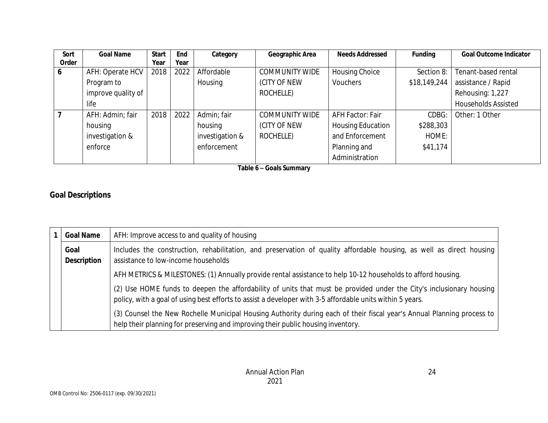| Sort  | <b>Goal Name</b>   | <b>Start</b> | End  | Category        | Geographic Area       | <b>Needs Addressed</b>   | Funding      | <b>Goal Outcome Indicator</b> |
|-------|--------------------|--------------|------|-----------------|-----------------------|--------------------------|--------------|-------------------------------|
| Order |                    | Year         | Year |                 |                       |                          |              |                               |
| 6     | AFH: Operate HCV   | 2018         | 2022 | Affordable      | <b>COMMUNITY WIDE</b> | <b>Housing Choice</b>    | Section 8:   | Tenant-based rental           |
|       | Program to         |              |      | Housing         | (CITY OF NEW          | Vouchers                 | \$18,149,244 | assistance / Rapid            |
|       | improve quality of |              |      |                 | ROCHELLE)             |                          |              | Rehousing: 1,227              |
|       | life               |              |      |                 |                       |                          |              | <b>Households Assisted</b>    |
|       | AFH: Admin; fair   | 2018         | 2022 | Admin; fair     | <b>COMMUNITY WIDE</b> | AFH Factor: Fair         | CDBG:        | Other: 1 Other                |
|       | housing            |              |      | housing         | (CITY OF NEW          | <b>Housing Education</b> | \$288,303    |                               |
|       | investigation &    |              |      | investigation & | ROCHELLE)             | and Enforcement          | HOME:        |                               |
|       | enforce            |              |      | enforcement     |                       | Planning and             | \$41,174     |                               |
|       |                    |              |      |                 |                       | Administration           |              |                               |

**Table 6 – Goals Summary**

### **Goal Descriptions**

| <b>Goal Name</b>                                                                                             | AFH: Improve access to and quality of housing                                                                                                                                                                                    |  |
|--------------------------------------------------------------------------------------------------------------|----------------------------------------------------------------------------------------------------------------------------------------------------------------------------------------------------------------------------------|--|
| Goal<br><b>Description</b>                                                                                   | Includes the construction, rehabilitation, and preservation of quality affordable housing, as well as direct housing<br>assistance to low-income households                                                                      |  |
| AFH METRICS & MILESTONES: (1) Annually provide rental assistance to help 10-12 households to afford housing. |                                                                                                                                                                                                                                  |  |
|                                                                                                              | (2) Use HOME funds to deepen the affordability of units that must be provided under the City's inclusionary housing<br>policy, with a goal of using best efforts to assist a developer with 3-5 affordable units within 5 years. |  |
|                                                                                                              | (3) Counsel the New Rochelle Municipal Housing Authority during each of their fiscal year's Annual Planning process to<br>help their planning for preserving and improving their public housing inventory.                       |  |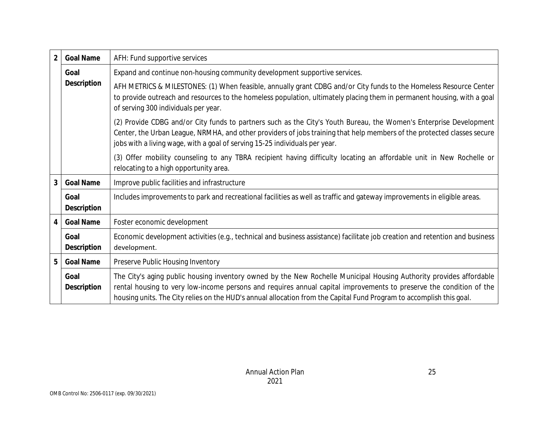| $\overline{2}$                                             | <b>Goal Name</b>                                                                                                                                                                                                                                                                                                             | AFH: Fund supportive services                                                                                                                                                                                                                                                                                                                                      |
|------------------------------------------------------------|------------------------------------------------------------------------------------------------------------------------------------------------------------------------------------------------------------------------------------------------------------------------------------------------------------------------------|--------------------------------------------------------------------------------------------------------------------------------------------------------------------------------------------------------------------------------------------------------------------------------------------------------------------------------------------------------------------|
|                                                            | Goal                                                                                                                                                                                                                                                                                                                         | Expand and continue non-housing community development supportive services.                                                                                                                                                                                                                                                                                         |
| <b>Description</b><br>of serving 300 individuals per year. |                                                                                                                                                                                                                                                                                                                              | AFH METRICS & MILESTONES: (1) When feasible, annually grant CDBG and/or City funds to the Homeless Resource Center<br>to provide outreach and resources to the homeless population, ultimately placing them in permanent housing, with a goal                                                                                                                      |
|                                                            | (2) Provide CDBG and/or City funds to partners such as the City's Youth Bureau, the Women's Enterprise Development<br>Center, the Urban League, NRMHA, and other providers of jobs training that help members of the protected classes secure<br>jobs with a living wage, with a goal of serving 15-25 individuals per year. |                                                                                                                                                                                                                                                                                                                                                                    |
|                                                            |                                                                                                                                                                                                                                                                                                                              | (3) Offer mobility counseling to any TBRA recipient having difficulty locating an affordable unit in New Rochelle or<br>relocating to a high opportunity area.                                                                                                                                                                                                     |
| 3                                                          | <b>Goal Name</b><br>Improve public facilities and infrastructure                                                                                                                                                                                                                                                             |                                                                                                                                                                                                                                                                                                                                                                    |
|                                                            | Goal<br><b>Description</b>                                                                                                                                                                                                                                                                                                   | Includes improvements to park and recreational facilities as well as traffic and gateway improvements in eligible areas.                                                                                                                                                                                                                                           |
| 4                                                          | <b>Goal Name</b>                                                                                                                                                                                                                                                                                                             | Foster economic development                                                                                                                                                                                                                                                                                                                                        |
|                                                            | Goal<br><b>Description</b>                                                                                                                                                                                                                                                                                                   | Economic development activities (e.g., technical and business assistance) facilitate job creation and retention and business<br>development.                                                                                                                                                                                                                       |
| 5                                                          | <b>Goal Name</b>                                                                                                                                                                                                                                                                                                             | Preserve Public Housing Inventory                                                                                                                                                                                                                                                                                                                                  |
|                                                            | Goal<br><b>Description</b>                                                                                                                                                                                                                                                                                                   | The City's aging public housing inventory owned by the New Rochelle Municipal Housing Authority provides affordable<br>rental housing to very low-income persons and requires annual capital improvements to preserve the condition of the<br>housing units. The City relies on the HUD's annual allocation from the Capital Fund Program to accomplish this goal. |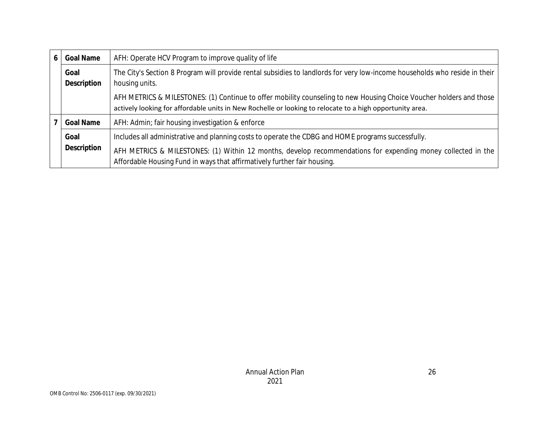| 6 | <b>Goal Name</b>   | AFH: Operate HCV Program to improve quality of life                                                                        |  |  |
|---|--------------------|----------------------------------------------------------------------------------------------------------------------------|--|--|
|   | Goal               | The City's Section 8 Program will provide rental subsidies to landlords for very low-income households who reside in their |  |  |
|   | <b>Description</b> | housing units.                                                                                                             |  |  |
|   |                    | AFH METRICS & MILESTONES: (1) Continue to offer mobility counseling to new Housing Choice Voucher holders and those        |  |  |
|   |                    | actively looking for affordable units in New Rochelle or looking to relocate to a high opportunity area.                   |  |  |
|   | <b>Goal Name</b>   | AFH: Admin; fair housing investigation & enforce                                                                           |  |  |
|   | Goal               | Includes all administrative and planning costs to operate the CDBG and HOME programs successfully.                         |  |  |
|   | <b>Description</b> | AFH METRICS & MILESTONES: (1) Within 12 months, develop recommendations for expending money collected in the               |  |  |
|   |                    | Affordable Housing Fund in ways that affirmatively further fair housing.                                                   |  |  |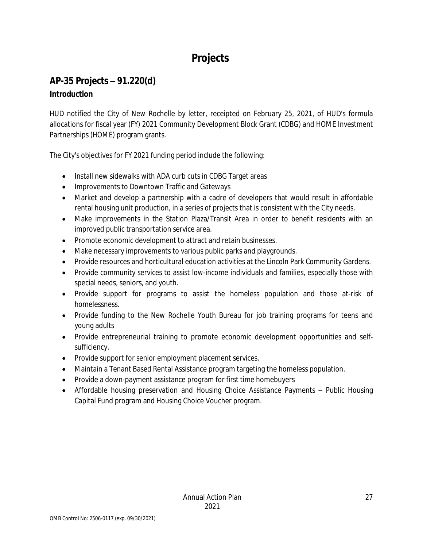# **Projects**

# **AP-35 Projects – 91.220(d) Introduction**

HUD notified the City of New Rochelle by letter, receipted on February 25, 2021, of HUD's formula allocations for fiscal year (FY) 2021 Community Development Block Grant (CDBG) and HOME Investment Partnerships (HOME) program grants.

The City's objectives for FY 2021 funding period include the following:

- Install new sidewalks with ADA curb cuts in CDBG Target areas
- Improvements to Downtown Traffic and Gateways
- Market and develop a partnership with a cadre of developers that would result in affordable rental housing unit production, in a series of projects that is consistent with the City needs.
- Make improvements in the Station Plaza/Transit Area in order to benefit residents with an improved public transportation service area.
- Promote economic development to attract and retain businesses.
- Make necessary improvements to various public parks and playgrounds.
- Provide resources and horticultural education activities at the Lincoln Park Community Gardens.
- Provide community services to assist low-income individuals and families, especially those with special needs, seniors, and youth.
- Provide support for programs to assist the homeless population and those at-risk of homelessness.
- Provide funding to the New Rochelle Youth Bureau for job training programs for teens and young adults
- Provide entrepreneurial training to promote economic development opportunities and selfsufficiency.
- Provide support for senior employment placement services.
- Maintain a Tenant Based Rental Assistance program targeting the homeless population.
- Provide a down-payment assistance program for first time homebuyers
- Affordable housing preservation and Housing Choice Assistance Payments Public Housing Capital Fund program and Housing Choice Voucher program.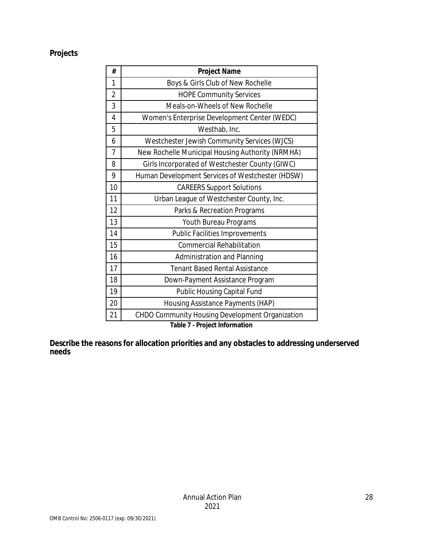#### **Projects**

| #              | <b>Project Name</b>                              |
|----------------|--------------------------------------------------|
| 1              | Boys & Girls Club of New Rochelle                |
| $\overline{2}$ | <b>HOPE Community Services</b>                   |
| 3              | Meals-on-Wheels of New Rochelle                  |
| 4              | Women's Enterprise Development Center (WEDC)     |
| 5              | Westhab, Inc.                                    |
| 6              | Westchester Jewish Community Services (WJCS)     |
| 7              | New Rochelle Municipal Housing Authority (NRMHA) |
| 8              | Girls Incorporated of Westchester County (GIWC)  |
| 9              | Human Development Services of Westchester (HDSW) |
| 10             | <b>CAREERS Support Solutions</b>                 |
| 11             | Urban League of Westchester County, Inc.         |
| 12             | Parks & Recreation Programs                      |
| 13             | Youth Bureau Programs                            |
| 14             | Public Facilities Improvements                   |
| 15             | <b>Commercial Rehabilitation</b>                 |
| 16             | Administration and Planning                      |
| 17             | <b>Tenant Based Rental Assistance</b>            |
| 18             | Down-Payment Assistance Program                  |
| 19             | Public Housing Capital Fund                      |
| 20             | Housing Assistance Payments (HAP)                |
| 21             | CHDO Community Housing Development Organization  |

**Table 7 - Project Information**

**Describe the reasons for allocation priorities and any obstacles to addressing underserved needs**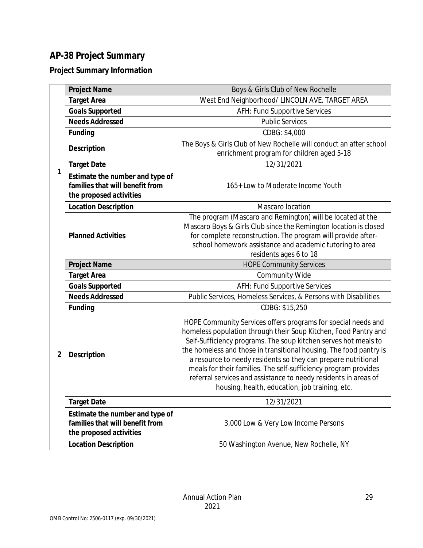# **AP-38 Project Summary**

**Project Summary Information**

|                | <b>Project Name</b>                                                                           | Boys & Girls Club of New Rochelle                                                                                                                                                                                                                                                                                                                                                                                                                                                                                                  |
|----------------|-----------------------------------------------------------------------------------------------|------------------------------------------------------------------------------------------------------------------------------------------------------------------------------------------------------------------------------------------------------------------------------------------------------------------------------------------------------------------------------------------------------------------------------------------------------------------------------------------------------------------------------------|
|                | <b>Target Area</b>                                                                            | West End Neighborhood/ LINCOLN AVE. TARGET AREA                                                                                                                                                                                                                                                                                                                                                                                                                                                                                    |
|                | <b>Goals Supported</b>                                                                        | AFH: Fund Supportive Services                                                                                                                                                                                                                                                                                                                                                                                                                                                                                                      |
|                | <b>Needs Addressed</b>                                                                        | <b>Public Services</b>                                                                                                                                                                                                                                                                                                                                                                                                                                                                                                             |
|                | <b>Funding</b>                                                                                | CDBG: \$4,000                                                                                                                                                                                                                                                                                                                                                                                                                                                                                                                      |
|                | <b>Description</b>                                                                            | The Boys & Girls Club of New Rochelle will conduct an after school                                                                                                                                                                                                                                                                                                                                                                                                                                                                 |
|                |                                                                                               | enrichment program for children aged 5-18                                                                                                                                                                                                                                                                                                                                                                                                                                                                                          |
| $\mathbf{1}$   | <b>Target Date</b>                                                                            | 12/31/2021                                                                                                                                                                                                                                                                                                                                                                                                                                                                                                                         |
|                | Estimate the number and type of<br>families that will benefit from<br>the proposed activities | 165+ Low to Moderate Income Youth                                                                                                                                                                                                                                                                                                                                                                                                                                                                                                  |
|                | <b>Location Description</b>                                                                   | Mascaro location                                                                                                                                                                                                                                                                                                                                                                                                                                                                                                                   |
|                | <b>Planned Activities</b>                                                                     | The program (Mascaro and Remington) will be located at the<br>Mascaro Boys & Girls Club since the Remington location is closed<br>for complete reconstruction. The program will provide after-<br>school homework assistance and academic tutoring to area<br>residents ages 6 to 18                                                                                                                                                                                                                                               |
|                | <b>Project Name</b>                                                                           | <b>HOPE Community Services</b>                                                                                                                                                                                                                                                                                                                                                                                                                                                                                                     |
|                | <b>Target Area</b>                                                                            | Community Wide                                                                                                                                                                                                                                                                                                                                                                                                                                                                                                                     |
|                | <b>Goals Supported</b>                                                                        | AFH: Fund Supportive Services                                                                                                                                                                                                                                                                                                                                                                                                                                                                                                      |
|                | <b>Needs Addressed</b>                                                                        | Public Services, Homeless Services, & Persons with Disabilities                                                                                                                                                                                                                                                                                                                                                                                                                                                                    |
|                | <b>Funding</b>                                                                                | CDBG: \$15,250                                                                                                                                                                                                                                                                                                                                                                                                                                                                                                                     |
| $\overline{2}$ | <b>Description</b>                                                                            | HOPE Community Services offers programs for special needs and<br>homeless population through their Soup Kitchen, Food Pantry and<br>Self-Sufficiency programs. The soup kitchen serves hot meals to<br>the homeless and those in transitional housing. The food pantry is<br>a resource to needy residents so they can prepare nutritional<br>meals for their families. The self-sufficiency program provides<br>referral services and assistance to needy residents in areas of<br>housing, health, education, job training, etc. |
|                | <b>Target Date</b>                                                                            | 12/31/2021                                                                                                                                                                                                                                                                                                                                                                                                                                                                                                                         |
|                | Estimate the number and type of<br>families that will benefit from<br>the proposed activities | 3,000 Low & Very Low Income Persons                                                                                                                                                                                                                                                                                                                                                                                                                                                                                                |
|                | <b>Location Description</b>                                                                   | 50 Washington Avenue, New Rochelle, NY                                                                                                                                                                                                                                                                                                                                                                                                                                                                                             |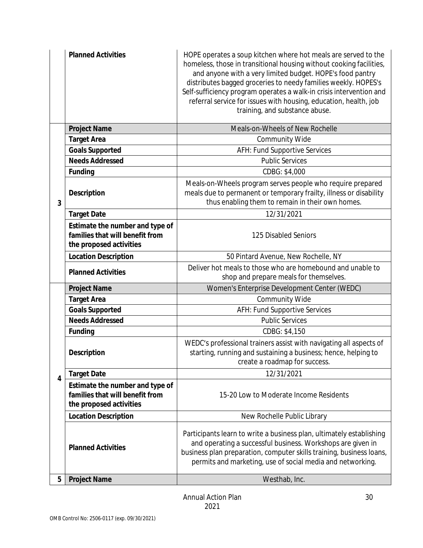|   | <b>Planned Activities</b>                                                                     | HOPE operates a soup kitchen where hot meals are served to the<br>homeless, those in transitional housing without cooking facilities,<br>and anyone with a very limited budget. HOPE's food pantry<br>distributes bagged groceries to needy families weekly. HOPES's<br>Self-sufficiency program operates a walk-in crisis intervention and<br>referral service for issues with housing, education, health, job<br>training, and substance abuse. |
|---|-----------------------------------------------------------------------------------------------|---------------------------------------------------------------------------------------------------------------------------------------------------------------------------------------------------------------------------------------------------------------------------------------------------------------------------------------------------------------------------------------------------------------------------------------------------|
|   | <b>Project Name</b>                                                                           | Meals-on-Wheels of New Rochelle                                                                                                                                                                                                                                                                                                                                                                                                                   |
|   | <b>Target Area</b>                                                                            | <b>Community Wide</b>                                                                                                                                                                                                                                                                                                                                                                                                                             |
|   | <b>Goals Supported</b>                                                                        | AFH: Fund Supportive Services                                                                                                                                                                                                                                                                                                                                                                                                                     |
|   | <b>Needs Addressed</b>                                                                        | <b>Public Services</b>                                                                                                                                                                                                                                                                                                                                                                                                                            |
|   | <b>Funding</b>                                                                                | CDBG: \$4,000                                                                                                                                                                                                                                                                                                                                                                                                                                     |
| 3 | <b>Description</b>                                                                            | Meals-on-Wheels program serves people who require prepared<br>meals due to permanent or temporary frailty, illness or disability<br>thus enabling them to remain in their own homes.                                                                                                                                                                                                                                                              |
|   | <b>Target Date</b>                                                                            | 12/31/2021                                                                                                                                                                                                                                                                                                                                                                                                                                        |
|   | Estimate the number and type of<br>families that will benefit from<br>the proposed activities | 125 Disabled Seniors                                                                                                                                                                                                                                                                                                                                                                                                                              |
|   | <b>Location Description</b>                                                                   | 50 Pintard Avenue, New Rochelle, NY                                                                                                                                                                                                                                                                                                                                                                                                               |
|   | <b>Planned Activities</b>                                                                     | Deliver hot meals to those who are homebound and unable to<br>shop and prepare meals for themselves.                                                                                                                                                                                                                                                                                                                                              |
|   | <b>Project Name</b>                                                                           | Women's Enterprise Development Center (WEDC)                                                                                                                                                                                                                                                                                                                                                                                                      |
|   | <b>Target Area</b>                                                                            | Community Wide                                                                                                                                                                                                                                                                                                                                                                                                                                    |
|   | <b>Goals Supported</b>                                                                        | <b>AFH: Fund Supportive Services</b>                                                                                                                                                                                                                                                                                                                                                                                                              |
|   | <b>Needs Addressed</b>                                                                        | <b>Public Services</b>                                                                                                                                                                                                                                                                                                                                                                                                                            |
|   | <b>Funding</b>                                                                                | CDBG: \$4,150                                                                                                                                                                                                                                                                                                                                                                                                                                     |
|   | <b>Description</b>                                                                            | WEDC's professional trainers assist with navigating all aspects of<br>starting, running and sustaining a business; hence, helping to<br>create a roadmap for success.                                                                                                                                                                                                                                                                             |
| 4 | <b>Target Date</b>                                                                            | 12/31/2021                                                                                                                                                                                                                                                                                                                                                                                                                                        |
|   | Estimate the number and type of<br>families that will benefit from<br>the proposed activities | 15-20 Low to Moderate Income Residents                                                                                                                                                                                                                                                                                                                                                                                                            |
|   | <b>Location Description</b>                                                                   | New Rochelle Public Library                                                                                                                                                                                                                                                                                                                                                                                                                       |
|   | <b>Planned Activities</b>                                                                     | Participants learn to write a business plan, ultimately establishing<br>and operating a successful business. Workshops are given in<br>business plan preparation, computer skills training, business loans,<br>permits and marketing, use of social media and networking.                                                                                                                                                                         |
| 5 | <b>Project Name</b>                                                                           | Westhab, Inc.                                                                                                                                                                                                                                                                                                                                                                                                                                     |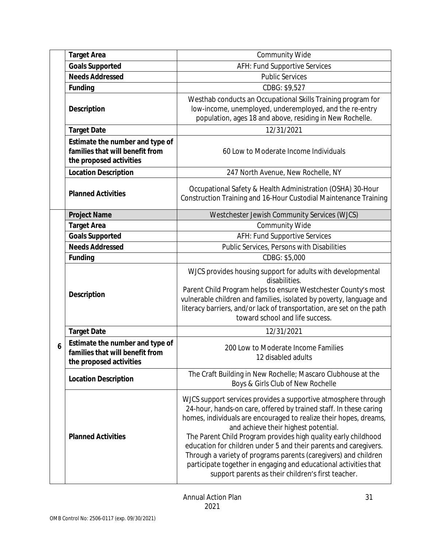|   | <b>Target Area</b>                                                                            | Community Wide                                                                                                                                                                                                                                                                                                                                                                                                                                                                                                                                                                      |
|---|-----------------------------------------------------------------------------------------------|-------------------------------------------------------------------------------------------------------------------------------------------------------------------------------------------------------------------------------------------------------------------------------------------------------------------------------------------------------------------------------------------------------------------------------------------------------------------------------------------------------------------------------------------------------------------------------------|
|   | <b>Goals Supported</b>                                                                        | AFH: Fund Supportive Services                                                                                                                                                                                                                                                                                                                                                                                                                                                                                                                                                       |
|   | <b>Needs Addressed</b>                                                                        | <b>Public Services</b>                                                                                                                                                                                                                                                                                                                                                                                                                                                                                                                                                              |
|   | <b>Funding</b>                                                                                | CDBG: \$9,527                                                                                                                                                                                                                                                                                                                                                                                                                                                                                                                                                                       |
|   | <b>Description</b>                                                                            | Westhab conducts an Occupational Skills Training program for<br>low-income, unemployed, underemployed, and the re-entry<br>population, ages 18 and above, residing in New Rochelle.                                                                                                                                                                                                                                                                                                                                                                                                 |
|   | <b>Target Date</b>                                                                            | 12/31/2021                                                                                                                                                                                                                                                                                                                                                                                                                                                                                                                                                                          |
|   | Estimate the number and type of<br>families that will benefit from<br>the proposed activities | 60 Low to Moderate Income Individuals                                                                                                                                                                                                                                                                                                                                                                                                                                                                                                                                               |
|   | <b>Location Description</b>                                                                   | 247 North Avenue, New Rochelle, NY                                                                                                                                                                                                                                                                                                                                                                                                                                                                                                                                                  |
|   | <b>Planned Activities</b>                                                                     | Occupational Safety & Health Administration (OSHA) 30-Hour<br>Construction Training and 16-Hour Custodial Maintenance Training                                                                                                                                                                                                                                                                                                                                                                                                                                                      |
|   | <b>Project Name</b>                                                                           | Westchester Jewish Community Services (WJCS)                                                                                                                                                                                                                                                                                                                                                                                                                                                                                                                                        |
|   | <b>Target Area</b>                                                                            | Community Wide                                                                                                                                                                                                                                                                                                                                                                                                                                                                                                                                                                      |
|   | <b>Goals Supported</b>                                                                        | <b>AFH: Fund Supportive Services</b>                                                                                                                                                                                                                                                                                                                                                                                                                                                                                                                                                |
|   | <b>Needs Addressed</b>                                                                        | Public Services, Persons with Disabilities                                                                                                                                                                                                                                                                                                                                                                                                                                                                                                                                          |
|   | <b>Funding</b>                                                                                | CDBG: \$5,000                                                                                                                                                                                                                                                                                                                                                                                                                                                                                                                                                                       |
|   | <b>Description</b>                                                                            | WJCS provides housing support for adults with developmental<br>disabilities.<br>Parent Child Program helps to ensure Westchester County's most<br>vulnerable children and families, isolated by poverty, language and<br>literacy barriers, and/or lack of transportation, are set on the path<br>toward school and life success.                                                                                                                                                                                                                                                   |
|   | <b>Target Date</b>                                                                            | 12/31/2021                                                                                                                                                                                                                                                                                                                                                                                                                                                                                                                                                                          |
| 6 | Estimate the number and type of<br>families that will benefit from<br>the proposed activities | 200 Low to Moderate Income Families<br>12 disabled adults                                                                                                                                                                                                                                                                                                                                                                                                                                                                                                                           |
|   | <b>Location Description</b>                                                                   | The Craft Building in New Rochelle; Mascaro Clubhouse at the<br>Boys & Girls Club of New Rochelle                                                                                                                                                                                                                                                                                                                                                                                                                                                                                   |
|   | <b>Planned Activities</b>                                                                     | WJCS support services provides a supportive atmosphere through<br>24-hour, hands-on care, offered by trained staff. In these caring<br>homes, individuals are encouraged to realize their hopes, dreams,<br>and achieve their highest potential.<br>The Parent Child Program provides high quality early childhood<br>education for children under 5 and their parents and caregivers.<br>Through a variety of programs parents (caregivers) and children<br>participate together in engaging and educational activities that<br>support parents as their children's first teacher. |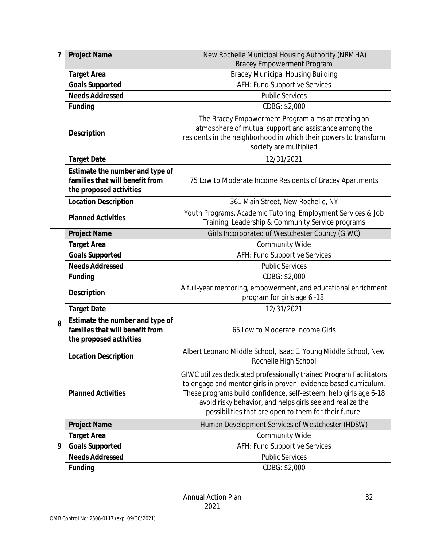| $\overline{7}$ | <b>Project Name</b>                                                                           | New Rochelle Municipal Housing Authority (NRMHA)                                                                                                                                                                                                                                                                                   |
|----------------|-----------------------------------------------------------------------------------------------|------------------------------------------------------------------------------------------------------------------------------------------------------------------------------------------------------------------------------------------------------------------------------------------------------------------------------------|
|                |                                                                                               | <b>Bracey Empowerment Program</b>                                                                                                                                                                                                                                                                                                  |
|                | <b>Target Area</b>                                                                            | <b>Bracey Municipal Housing Building</b>                                                                                                                                                                                                                                                                                           |
|                | <b>Goals Supported</b>                                                                        | AFH: Fund Supportive Services                                                                                                                                                                                                                                                                                                      |
|                | <b>Needs Addressed</b>                                                                        | <b>Public Services</b>                                                                                                                                                                                                                                                                                                             |
|                | <b>Funding</b>                                                                                | CDBG: \$2,000                                                                                                                                                                                                                                                                                                                      |
|                | <b>Description</b>                                                                            | The Bracey Empowerment Program aims at creating an<br>atmosphere of mutual support and assistance among the<br>residents in the neighborhood in which their powers to transform<br>society are multiplied                                                                                                                          |
|                | <b>Target Date</b>                                                                            | 12/31/2021                                                                                                                                                                                                                                                                                                                         |
|                | Estimate the number and type of<br>families that will benefit from<br>the proposed activities | 75 Low to Moderate Income Residents of Bracey Apartments                                                                                                                                                                                                                                                                           |
|                | <b>Location Description</b>                                                                   | 361 Main Street, New Rochelle, NY                                                                                                                                                                                                                                                                                                  |
|                | <b>Planned Activities</b>                                                                     | Youth Programs, Academic Tutoring, Employment Services & Job<br>Training, Leadership & Community Service programs                                                                                                                                                                                                                  |
|                | <b>Project Name</b>                                                                           | Girls Incorporated of Westchester County (GIWC)                                                                                                                                                                                                                                                                                    |
|                | <b>Target Area</b>                                                                            | Community Wide                                                                                                                                                                                                                                                                                                                     |
|                | <b>Goals Supported</b>                                                                        | AFH: Fund Supportive Services                                                                                                                                                                                                                                                                                                      |
|                | <b>Needs Addressed</b>                                                                        | <b>Public Services</b>                                                                                                                                                                                                                                                                                                             |
|                | <b>Funding</b>                                                                                | CDBG: \$2,000                                                                                                                                                                                                                                                                                                                      |
|                | <b>Description</b>                                                                            | A full-year mentoring, empowerment, and educational enrichment<br>program for girls age 6 -18.                                                                                                                                                                                                                                     |
|                | <b>Target Date</b>                                                                            | 12/31/2021                                                                                                                                                                                                                                                                                                                         |
| 8              | Estimate the number and type of<br>families that will benefit from<br>the proposed activities | 65 Low to Moderate Income Girls                                                                                                                                                                                                                                                                                                    |
|                | <b>Location Description</b>                                                                   | Albert Leonard Middle School, Isaac E. Young Middle School, New<br>Rochelle High School                                                                                                                                                                                                                                            |
|                | <b>Planned Activities</b>                                                                     | GIWC utilizes dedicated professionally trained Program Facilitators<br>to engage and mentor girls in proven, evidence based curriculum.<br>These programs build confidence, self-esteem, help girls age 6-18<br>avoid risky behavior, and helps girls see and realize the<br>possibilities that are open to them for their future. |
|                | <b>Project Name</b>                                                                           | Human Development Services of Westchester (HDSW)                                                                                                                                                                                                                                                                                   |
|                | <b>Target Area</b>                                                                            | Community Wide                                                                                                                                                                                                                                                                                                                     |
| 9              | <b>Goals Supported</b>                                                                        | AFH: Fund Supportive Services                                                                                                                                                                                                                                                                                                      |
|                | <b>Needs Addressed</b>                                                                        | <b>Public Services</b>                                                                                                                                                                                                                                                                                                             |
|                | <b>Funding</b>                                                                                | CDBG: \$2,000                                                                                                                                                                                                                                                                                                                      |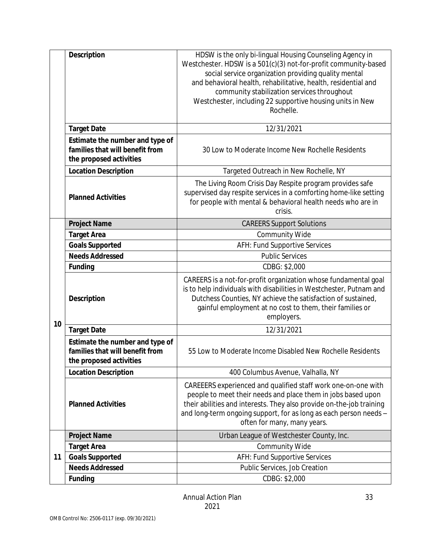|    | <b>Description</b>                                                                            | HDSW is the only bi-lingual Housing Counseling Agency in<br>Westchester. HDSW is a 501(c)(3) not-for-profit community-based<br>social service organization providing quality mental<br>and behavioral health, rehabilitative, health, residential and<br>community stabilization services throughout<br>Westchester, including 22 supportive housing units in New<br>Rochelle. |
|----|-----------------------------------------------------------------------------------------------|--------------------------------------------------------------------------------------------------------------------------------------------------------------------------------------------------------------------------------------------------------------------------------------------------------------------------------------------------------------------------------|
|    | <b>Target Date</b>                                                                            | 12/31/2021                                                                                                                                                                                                                                                                                                                                                                     |
|    | Estimate the number and type of<br>families that will benefit from<br>the proposed activities | 30 Low to Moderate Income New Rochelle Residents                                                                                                                                                                                                                                                                                                                               |
|    | <b>Location Description</b>                                                                   | Targeted Outreach in New Rochelle, NY                                                                                                                                                                                                                                                                                                                                          |
|    | <b>Planned Activities</b>                                                                     | The Living Room Crisis Day Respite program provides safe<br>supervised day respite services in a comforting home-like setting<br>for people with mental & behavioral health needs who are in<br>crisis.                                                                                                                                                                        |
|    | <b>Project Name</b>                                                                           | <b>CAREERS Support Solutions</b>                                                                                                                                                                                                                                                                                                                                               |
|    | <b>Target Area</b>                                                                            | <b>Community Wide</b>                                                                                                                                                                                                                                                                                                                                                          |
|    | <b>Goals Supported</b>                                                                        | <b>AFH: Fund Supportive Services</b>                                                                                                                                                                                                                                                                                                                                           |
|    | <b>Needs Addressed</b>                                                                        | <b>Public Services</b>                                                                                                                                                                                                                                                                                                                                                         |
|    | <b>Funding</b>                                                                                | CDBG: \$2,000                                                                                                                                                                                                                                                                                                                                                                  |
| 10 | <b>Description</b>                                                                            | CAREERS is a not-for-profit organization whose fundamental goal<br>is to help individuals with disabilities in Westchester, Putnam and<br>Dutchess Counties, NY achieve the satisfaction of sustained,<br>gainful employment at no cost to them, their families or<br>employers.                                                                                               |
|    | <b>Target Date</b>                                                                            | 12/31/2021                                                                                                                                                                                                                                                                                                                                                                     |
|    | Estimate the number and type of<br>families that will benefit from<br>the proposed activities | 55 Low to Moderate Income Disabled New Rochelle Residents                                                                                                                                                                                                                                                                                                                      |
|    | <b>Location Description</b>                                                                   | 400 Columbus Avenue, Valhalla, NY                                                                                                                                                                                                                                                                                                                                              |
|    | <b>Planned Activities</b>                                                                     | CAREEERS experienced and qualified staff work one-on-one with<br>people to meet their needs and place them in jobs based upon<br>their abilities and interests. They also provide on-the-job training<br>and long-term ongoing support, for as long as each person needs -<br>often for many, many years.                                                                      |
|    | <b>Project Name</b>                                                                           | Urban League of Westchester County, Inc.                                                                                                                                                                                                                                                                                                                                       |
|    | <b>Target Area</b>                                                                            | Community Wide                                                                                                                                                                                                                                                                                                                                                                 |
| 11 | <b>Goals Supported</b>                                                                        | AFH: Fund Supportive Services                                                                                                                                                                                                                                                                                                                                                  |
|    | <b>Needs Addressed</b>                                                                        | Public Services, Job Creation                                                                                                                                                                                                                                                                                                                                                  |
|    | <b>Funding</b>                                                                                | CDBG: \$2,000                                                                                                                                                                                                                                                                                                                                                                  |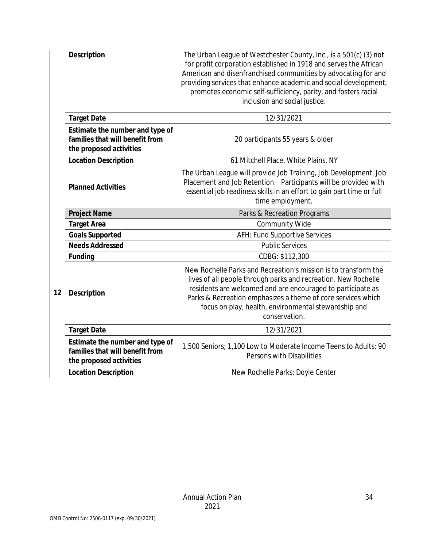|    | <b>Description</b>                                                                            | The Urban League of Westchester County, Inc., is a 501(c) (3) not<br>for profit corporation established in 1918 and serves the African<br>American and disenfranchised communities by advocating for and<br>providing services that enhance academic and social development,<br>promotes economic self-sufficiency, parity, and fosters racial<br>inclusion and social justice. |
|----|-----------------------------------------------------------------------------------------------|---------------------------------------------------------------------------------------------------------------------------------------------------------------------------------------------------------------------------------------------------------------------------------------------------------------------------------------------------------------------------------|
|    | <b>Target Date</b>                                                                            | 12/31/2021                                                                                                                                                                                                                                                                                                                                                                      |
|    | Estimate the number and type of<br>families that will benefit from<br>the proposed activities | 20 participants 55 years & older                                                                                                                                                                                                                                                                                                                                                |
|    | <b>Location Description</b>                                                                   | 61 Mitchell Place, White Plains, NY                                                                                                                                                                                                                                                                                                                                             |
|    | <b>Planned Activities</b>                                                                     | The Urban League will provide Job Training, Job Development, Job<br>Placement and Job Retention. Participants will be provided with<br>essential job readiness skills in an effort to gain part time or full<br>time employment.                                                                                                                                                |
|    | <b>Project Name</b>                                                                           | Parks & Recreation Programs                                                                                                                                                                                                                                                                                                                                                     |
|    | <b>Target Area</b>                                                                            | <b>Community Wide</b>                                                                                                                                                                                                                                                                                                                                                           |
|    | <b>Goals Supported</b>                                                                        | AFH: Fund Supportive Services                                                                                                                                                                                                                                                                                                                                                   |
| 12 | <b>Needs Addressed</b>                                                                        | <b>Public Services</b>                                                                                                                                                                                                                                                                                                                                                          |
|    | <b>Funding</b>                                                                                | CDBG: \$112,300                                                                                                                                                                                                                                                                                                                                                                 |
|    | <b>Description</b>                                                                            | New Rochelle Parks and Recreation's mission is to transform the<br>lives of all people through parks and recreation. New Rochelle<br>residents are welcomed and are encouraged to participate as<br>Parks & Recreation emphasizes a theme of core services which<br>focus on play, health, environmental stewardship and<br>conservation.                                       |
|    | <b>Target Date</b>                                                                            | 12/31/2021                                                                                                                                                                                                                                                                                                                                                                      |
|    | Estimate the number and type of<br>families that will benefit from<br>the proposed activities | 1,500 Seniors; 1,100 Low to Moderate Income Teens to Adults; 90<br>Persons with Disabilities                                                                                                                                                                                                                                                                                    |
|    | <b>Location Description</b>                                                                   | New Rochelle Parks; Doyle Center                                                                                                                                                                                                                                                                                                                                                |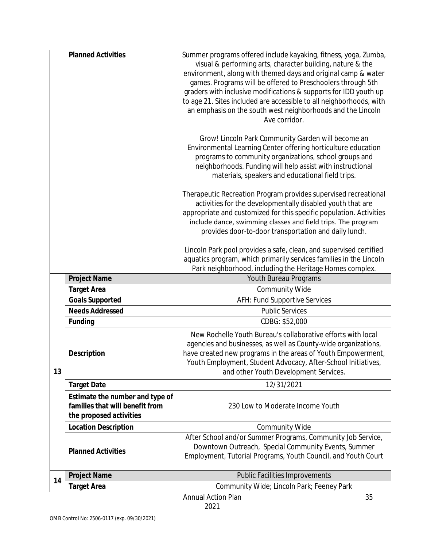|    | <b>Planned Activities</b>                 | Summer programs offered include kayaking, fitness, yoga, Zumba,                    |
|----|-------------------------------------------|------------------------------------------------------------------------------------|
|    |                                           | visual & performing arts, character building, nature & the                         |
|    |                                           | environment, along with themed days and original camp & water                      |
|    |                                           | games. Programs will be offered to Preschoolers through 5th                        |
|    |                                           | graders with inclusive modifications & supports for IDD youth up                   |
|    |                                           | to age 21. Sites included are accessible to all neighborhoods, with                |
|    |                                           | an emphasis on the south west neighborhoods and the Lincoln                        |
|    |                                           | Ave corridor.                                                                      |
|    |                                           |                                                                                    |
|    |                                           | Grow! Lincoln Park Community Garden will become an                                 |
|    |                                           | Environmental Learning Center offering horticulture education                      |
|    |                                           | programs to community organizations, school groups and                             |
|    |                                           | neighborhoods. Funding will help assist with instructional                         |
|    |                                           | materials, speakers and educational field trips.                                   |
|    |                                           | Therapeutic Recreation Program provides supervised recreational                    |
|    |                                           | activities for the developmentally disabled youth that are                         |
|    |                                           | appropriate and customized for this specific population. Activities                |
|    |                                           | include dance, swimming classes and field trips. The program                       |
|    |                                           | provides door-to-door transportation and daily lunch.                              |
|    |                                           |                                                                                    |
|    |                                           | Lincoln Park pool provides a safe, clean, and supervised certified                 |
|    |                                           | aquatics program, which primarily services families in the Lincoln                 |
|    |                                           | Park neighborhood, including the Heritage Homes complex.                           |
|    | <b>Project Name</b>                       | Youth Bureau Programs                                                              |
|    | <b>Target Area</b>                        | Community Wide                                                                     |
|    |                                           |                                                                                    |
|    | <b>Goals Supported</b>                    | <b>AFH: Fund Supportive Services</b>                                               |
|    | <b>Needs Addressed</b>                    | <b>Public Services</b>                                                             |
|    | <b>Funding</b>                            | CDBG: \$52,000                                                                     |
|    |                                           | New Rochelle Youth Bureau's collaborative efforts with local                       |
|    |                                           | agencies and businesses, as well as County-wide organizations,                     |
|    | <b>Description</b>                        | have created new programs in the areas of Youth Empowerment,                       |
|    |                                           | Youth Employment, Student Advocacy, After-School Initiatives,                      |
| 13 |                                           | and other Youth Development Services.                                              |
|    | <b>Target Date</b>                        | 12/31/2021                                                                         |
|    | Estimate the number and type of           |                                                                                    |
|    | families that will benefit from           | 230 Low to Moderate Income Youth                                                   |
|    | the proposed activities                   |                                                                                    |
|    | <b>Location Description</b>               | <b>Community Wide</b>                                                              |
|    |                                           | After School and/or Summer Programs, Community Job Service,                        |
|    | <b>Planned Activities</b>                 | Downtown Outreach, Special Community Events, Summer                                |
|    |                                           | Employment, Tutorial Programs, Youth Council, and Youth Court                      |
|    |                                           |                                                                                    |
| 14 | <b>Project Name</b><br><b>Target Area</b> | <b>Public Facilities Improvements</b><br>Community Wide; Lincoln Park; Feeney Park |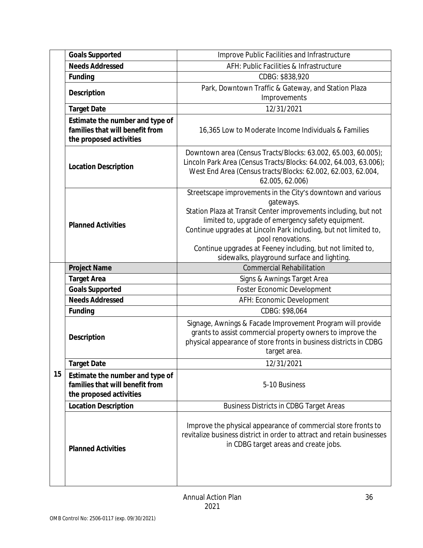|    | <b>Goals Supported</b>                                                                        | Improve Public Facilities and Infrastructure                                                                                                                                                                                                                                                                                                                                                            |
|----|-----------------------------------------------------------------------------------------------|---------------------------------------------------------------------------------------------------------------------------------------------------------------------------------------------------------------------------------------------------------------------------------------------------------------------------------------------------------------------------------------------------------|
|    | <b>Needs Addressed</b>                                                                        | AFH: Public Facilities & Infrastructure                                                                                                                                                                                                                                                                                                                                                                 |
|    | <b>Funding</b>                                                                                | CDBG: \$838,920                                                                                                                                                                                                                                                                                                                                                                                         |
|    | <b>Description</b>                                                                            | Park, Downtown Traffic & Gateway, and Station Plaza<br>Improvements                                                                                                                                                                                                                                                                                                                                     |
|    | <b>Target Date</b>                                                                            | 12/31/2021                                                                                                                                                                                                                                                                                                                                                                                              |
|    | Estimate the number and type of<br>families that will benefit from<br>the proposed activities | 16,365 Low to Moderate Income Individuals & Families                                                                                                                                                                                                                                                                                                                                                    |
|    | <b>Location Description</b>                                                                   | Downtown area (Census Tracts/Blocks: 63.002, 65.003, 60.005);<br>Lincoln Park Area (Census Tracts/Blocks: 64.002, 64.003, 63.006);<br>West End Area (Census tracts/Blocks: 62.002, 62.003, 62.004,<br>62.005, 62.006)                                                                                                                                                                                   |
|    | <b>Planned Activities</b>                                                                     | Streetscape improvements in the City's downtown and various<br>gateways.<br>Station Plaza at Transit Center improvements including, but not<br>limited to, upgrade of emergency safety equipment.<br>Continue upgrades at Lincoln Park including, but not limited to,<br>pool renovations.<br>Continue upgrades at Feeney including, but not limited to,<br>sidewalks, playground surface and lighting. |
|    | <b>Project Name</b>                                                                           | <b>Commercial Rehabilitation</b>                                                                                                                                                                                                                                                                                                                                                                        |
|    | <b>Target Area</b>                                                                            | Signs & Awnings Target Area                                                                                                                                                                                                                                                                                                                                                                             |
|    | <b>Goals Supported</b>                                                                        | Foster Economic Development                                                                                                                                                                                                                                                                                                                                                                             |
|    | <b>Needs Addressed</b>                                                                        | AFH: Economic Development                                                                                                                                                                                                                                                                                                                                                                               |
|    | <b>Funding</b>                                                                                | CDBG: \$98,064                                                                                                                                                                                                                                                                                                                                                                                          |
|    | <b>Description</b>                                                                            | Signage, Awnings & Facade Improvement Program will provide<br>grants to assist commercial property owners to improve the<br>physical appearance of store fronts in business districts in CDBG<br>target area.                                                                                                                                                                                           |
|    | <b>Target Date</b>                                                                            | 12/31/2021                                                                                                                                                                                                                                                                                                                                                                                              |
| 15 | Estimate the number and type of<br>families that will benefit from<br>the proposed activities | 5-10 Business                                                                                                                                                                                                                                                                                                                                                                                           |
|    | <b>Location Description</b>                                                                   | <b>Business Districts in CDBG Target Areas</b>                                                                                                                                                                                                                                                                                                                                                          |
|    | <b>Planned Activities</b>                                                                     | Improve the physical appearance of commercial store fronts to<br>revitalize business district in order to attract and retain businesses<br>in CDBG target areas and create jobs.                                                                                                                                                                                                                        |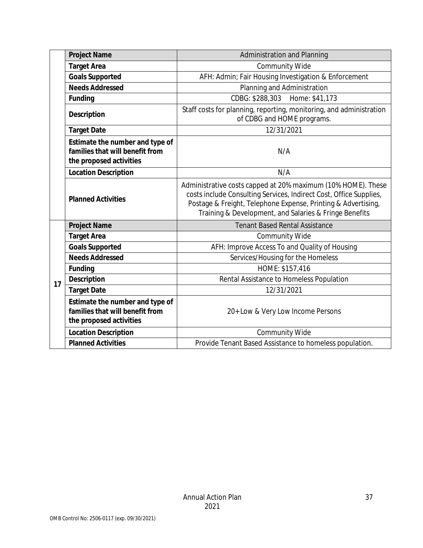|    | <b>Project Name</b>                                                                           | Administration and Planning                                                                                                                                                                                                                                   |  |
|----|-----------------------------------------------------------------------------------------------|---------------------------------------------------------------------------------------------------------------------------------------------------------------------------------------------------------------------------------------------------------------|--|
|    | <b>Target Area</b>                                                                            | Community Wide                                                                                                                                                                                                                                                |  |
|    | <b>Goals Supported</b>                                                                        | AFH: Admin; Fair Housing Investigation & Enforcement                                                                                                                                                                                                          |  |
|    | <b>Needs Addressed</b>                                                                        | Planning and Administration                                                                                                                                                                                                                                   |  |
|    | <b>Funding</b>                                                                                | CDBG: \$288,303<br>Home: \$41,173                                                                                                                                                                                                                             |  |
|    | <b>Description</b>                                                                            | Staff costs for planning, reporting, monitoring, and administration<br>of CDBG and HOME programs.                                                                                                                                                             |  |
|    | <b>Target Date</b>                                                                            | 12/31/2021                                                                                                                                                                                                                                                    |  |
|    | Estimate the number and type of<br>families that will benefit from<br>the proposed activities | N/A                                                                                                                                                                                                                                                           |  |
|    | <b>Location Description</b>                                                                   | N/A                                                                                                                                                                                                                                                           |  |
|    | <b>Planned Activities</b>                                                                     | Administrative costs capped at 20% maximum (10% HOME). These<br>costs include Consulting Services, Indirect Cost, Office Supplies,<br>Postage & Freight, Telephone Expense, Printing & Advertising,<br>Training & Development, and Salaries & Fringe Benefits |  |
|    | <b>Project Name</b>                                                                           | <b>Tenant Based Rental Assistance</b>                                                                                                                                                                                                                         |  |
|    | <b>Target Area</b>                                                                            | <b>Community Wide</b>                                                                                                                                                                                                                                         |  |
|    | <b>Goals Supported</b>                                                                        | AFH: Improve Access To and Quality of Housing                                                                                                                                                                                                                 |  |
|    | <b>Needs Addressed</b>                                                                        | Services/Housing for the Homeless                                                                                                                                                                                                                             |  |
|    | <b>Funding</b>                                                                                | HOME: \$157,416                                                                                                                                                                                                                                               |  |
| 17 | <b>Description</b>                                                                            | Rental Assistance to Homeless Population                                                                                                                                                                                                                      |  |
|    | <b>Target Date</b>                                                                            | 12/31/2021                                                                                                                                                                                                                                                    |  |
|    | Estimate the number and type of<br>families that will benefit from<br>the proposed activities | 20+ Low & Very Low Income Persons                                                                                                                                                                                                                             |  |
|    | <b>Location Description</b>                                                                   | Community Wide                                                                                                                                                                                                                                                |  |
|    | <b>Planned Activities</b>                                                                     | Provide Tenant Based Assistance to homeless population.                                                                                                                                                                                                       |  |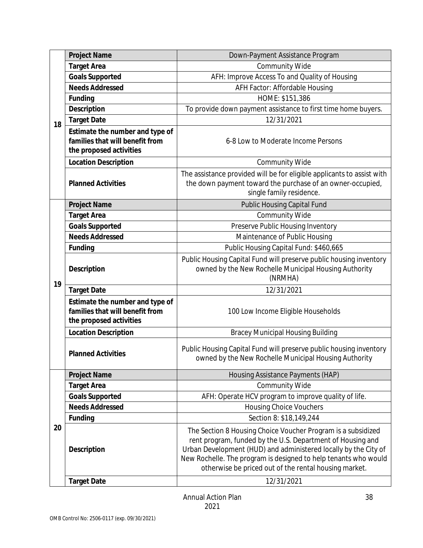|    | <b>Project Name</b>                                                                           | Down-Payment Assistance Program                                                                                                                                                                                                                                                                                           |  |
|----|-----------------------------------------------------------------------------------------------|---------------------------------------------------------------------------------------------------------------------------------------------------------------------------------------------------------------------------------------------------------------------------------------------------------------------------|--|
|    | <b>Target Area</b>                                                                            | Community Wide                                                                                                                                                                                                                                                                                                            |  |
|    | <b>Goals Supported</b>                                                                        | AFH: Improve Access To and Quality of Housing                                                                                                                                                                                                                                                                             |  |
| 18 | <b>Needs Addressed</b>                                                                        | AFH Factor: Affordable Housing                                                                                                                                                                                                                                                                                            |  |
|    | <b>Funding</b>                                                                                | HOME: \$151,386                                                                                                                                                                                                                                                                                                           |  |
|    | <b>Description</b>                                                                            | To provide down payment assistance to first time home buyers.                                                                                                                                                                                                                                                             |  |
|    | <b>Target Date</b>                                                                            | 12/31/2021                                                                                                                                                                                                                                                                                                                |  |
|    | Estimate the number and type of<br>families that will benefit from<br>the proposed activities | 6-8 Low to Moderate Income Persons                                                                                                                                                                                                                                                                                        |  |
|    | <b>Location Description</b>                                                                   | Community Wide                                                                                                                                                                                                                                                                                                            |  |
|    | <b>Planned Activities</b>                                                                     | The assistance provided will be for eligible applicants to assist with<br>the down payment toward the purchase of an owner-occupied,<br>single family residence.                                                                                                                                                          |  |
|    | <b>Project Name</b>                                                                           | <b>Public Housing Capital Fund</b>                                                                                                                                                                                                                                                                                        |  |
|    | <b>Target Area</b>                                                                            | Community Wide                                                                                                                                                                                                                                                                                                            |  |
|    | <b>Goals Supported</b>                                                                        | Preserve Public Housing Inventory                                                                                                                                                                                                                                                                                         |  |
|    | <b>Needs Addressed</b>                                                                        | Maintenance of Public Housing                                                                                                                                                                                                                                                                                             |  |
|    | <b>Funding</b>                                                                                | Public Housing Capital Fund: \$460,665                                                                                                                                                                                                                                                                                    |  |
| 19 | <b>Description</b>                                                                            | Public Housing Capital Fund will preserve public housing inventory<br>owned by the New Rochelle Municipal Housing Authority<br>(NRMHA)                                                                                                                                                                                    |  |
|    | <b>Target Date</b>                                                                            | 12/31/2021                                                                                                                                                                                                                                                                                                                |  |
|    | Estimate the number and type of<br>families that will benefit from<br>the proposed activities | 100 Low Income Eligible Households                                                                                                                                                                                                                                                                                        |  |
|    | <b>Location Description</b>                                                                   | <b>Bracey Municipal Housing Building</b>                                                                                                                                                                                                                                                                                  |  |
|    | <b>Planned Activities</b>                                                                     | Public Housing Capital Fund will preserve public housing inventory<br>owned by the New Rochelle Municipal Housing Authority                                                                                                                                                                                               |  |
|    | <b>Project Name</b>                                                                           | Housing Assistance Payments (HAP)                                                                                                                                                                                                                                                                                         |  |
|    | <b>Target Area</b>                                                                            | Community Wide                                                                                                                                                                                                                                                                                                            |  |
|    | <b>Goals Supported</b>                                                                        | AFH: Operate HCV program to improve quality of life.                                                                                                                                                                                                                                                                      |  |
|    | <b>Needs Addressed</b>                                                                        | <b>Housing Choice Vouchers</b>                                                                                                                                                                                                                                                                                            |  |
|    | <b>Funding</b>                                                                                | Section 8: \$18,149,244                                                                                                                                                                                                                                                                                                   |  |
| 20 | <b>Description</b>                                                                            | The Section 8 Housing Choice Voucher Program is a subsidized<br>rent program, funded by the U.S. Department of Housing and<br>Urban Development (HUD) and administered locally by the City of<br>New Rochelle. The program is designed to help tenants who would<br>otherwise be priced out of the rental housing market. |  |
|    | <b>Target Date</b>                                                                            | 12/31/2021                                                                                                                                                                                                                                                                                                                |  |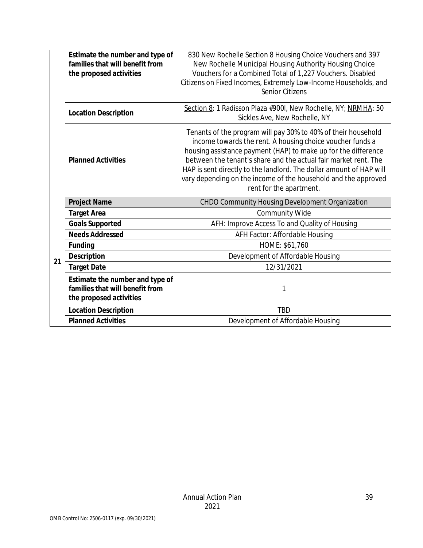|    | Estimate the number and type of<br>families that will benefit from<br>the proposed activities | 830 New Rochelle Section 8 Housing Choice Vouchers and 397<br>New Rochelle Municipal Housing Authority Housing Choice<br>Vouchers for a Combined Total of 1,227 Vouchers. Disabled<br>Citizens on Fixed Incomes, Extremely Low-Income Households, and<br><b>Senior Citizens</b>                                                                                                                                                     |  |
|----|-----------------------------------------------------------------------------------------------|-------------------------------------------------------------------------------------------------------------------------------------------------------------------------------------------------------------------------------------------------------------------------------------------------------------------------------------------------------------------------------------------------------------------------------------|--|
|    | <b>Location Description</b>                                                                   | Section 8: 1 Radisson Plaza #900I, New Rochelle, NY; NRMHA: 50<br>Sickles Ave, New Rochelle, NY                                                                                                                                                                                                                                                                                                                                     |  |
|    | <b>Planned Activities</b>                                                                     | Tenants of the program will pay 30% to 40% of their household<br>income towards the rent. A housing choice voucher funds a<br>housing assistance payment (HAP) to make up for the difference<br>between the tenant's share and the actual fair market rent. The<br>HAP is sent directly to the landlord. The dollar amount of HAP will<br>vary depending on the income of the household and the approved<br>rent for the apartment. |  |
|    | <b>Project Name</b>                                                                           | CHDO Community Housing Development Organization                                                                                                                                                                                                                                                                                                                                                                                     |  |
|    | <b>Target Area</b>                                                                            | Community Wide                                                                                                                                                                                                                                                                                                                                                                                                                      |  |
|    | <b>Goals Supported</b>                                                                        | AFH: Improve Access To and Quality of Housing                                                                                                                                                                                                                                                                                                                                                                                       |  |
|    | <b>Needs Addressed</b>                                                                        | AFH Factor: Affordable Housing                                                                                                                                                                                                                                                                                                                                                                                                      |  |
|    | <b>Funding</b>                                                                                | HOME: \$61,760                                                                                                                                                                                                                                                                                                                                                                                                                      |  |
| 21 | <b>Description</b>                                                                            | Development of Affordable Housing                                                                                                                                                                                                                                                                                                                                                                                                   |  |
|    | <b>Target Date</b>                                                                            | 12/31/2021                                                                                                                                                                                                                                                                                                                                                                                                                          |  |
|    | Estimate the number and type of<br>families that will benefit from<br>the proposed activities | 1                                                                                                                                                                                                                                                                                                                                                                                                                                   |  |
|    | <b>Location Description</b>                                                                   | <b>TBD</b>                                                                                                                                                                                                                                                                                                                                                                                                                          |  |
|    | <b>Planned Activities</b>                                                                     | Development of Affordable Housing                                                                                                                                                                                                                                                                                                                                                                                                   |  |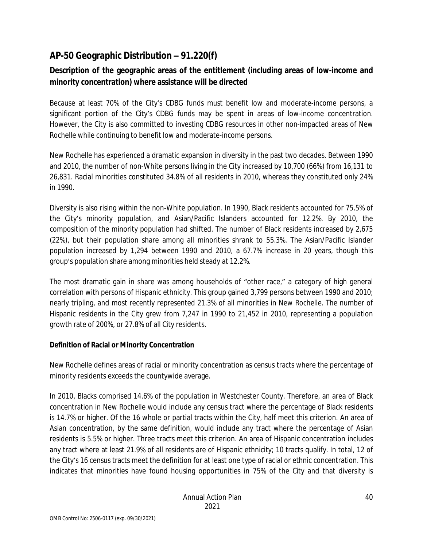# **AP-50 Geographic Distribution – 91.220(f)**

### **Description of the geographic areas of the entitlement (including areas of low-income and minority concentration) where assistance will be directed**

Because at least 70% of the City's CDBG funds must benefit low and moderate-income persons, a significant portion of the City's CDBG funds may be spent in areas of low-income concentration. However, the City is also committed to investing CDBG resources in other non-impacted areas of New Rochelle while continuing to benefit low and moderate-income persons.

New Rochelle has experienced a dramatic expansion in diversity in the past two decades. Between 1990 and 2010, the number of non-White persons living in the City increased by 10,700 (66%) from 16,131 to 26,831. Racial minorities constituted 34.8% of all residents in 2010, whereas they constituted only 24% in 1990.

Diversity is also rising within the non-White population. In 1990, Black residents accounted for 75.5% of the City's minority population, and Asian/Pacific Islanders accounted for 12.2%. By 2010, the composition of the minority population had shifted. The number of Black residents increased by 2,675 (22%), but their population share among all minorities shrank to 55.3%. The Asian/Pacific Islander population increased by 1,294 between 1990 and 2010, a 67.7% increase in 20 years, though this group's population share among minorities held steady at 12.2%.

The most dramatic gain in share was among households of "other race," a category of high general correlation with persons of Hispanic ethnicity. This group gained 3,799 persons between 1990 and 2010; nearly tripling, and most recently represented 21.3% of all minorities in New Rochelle. The number of Hispanic residents in the City grew from 7,247 in 1990 to 21,452 in 2010, representing a population growth rate of 200%, or 27.8% of all City residents.

#### **Definition of Racial or Minority Concentration**

New Rochelle defines areas of racial or minority concentration as census tracts where the percentage of minority residents exceeds the countywide average.

In 2010, Blacks comprised 14.6% of the population in Westchester County. Therefore, an area of Black concentration in New Rochelle would include any census tract where the percentage of Black residents is 14.7% or higher. Of the 16 whole or partial tracts within the City, half meet this criterion. An area of Asian concentration, by the same definition, would include any tract where the percentage of Asian residents is 5.5% or higher. Three tracts meet this criterion. An area of Hispanic concentration includes any tract where at least 21.9% of all residents are of Hispanic ethnicity; 10 tracts qualify. In total, 12 of the City's 16 census tracts meet the definition for at least one type of racial or ethnic concentration. This indicates that minorities have found housing opportunities in 75% of the City and that diversity is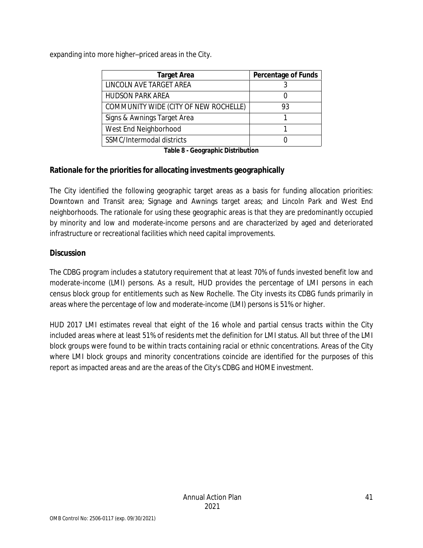expanding into more higher–priced areas in the City.

| <b>Target Area</b>                    | <b>Percentage of Funds</b> |
|---------------------------------------|----------------------------|
| LINCOLN AVE TARGET AREA               |                            |
| <b>HUDSON PARK AREA</b>               |                            |
| COMMUNITY WIDE (CITY OF NEW ROCHELLE) | 93                         |
| Signs & Awnings Target Area           |                            |
| West End Neighborhood                 |                            |
| SSMC/Intermodal districts             |                            |

**Table 8 - Geographic Distribution**

#### **Rationale for the priorities for allocating investments geographically**

The City identified the following geographic target areas as a basis for funding allocation priorities: Downtown and Transit area; Signage and Awnings target areas; and Lincoln Park and West End neighborhoods. The rationale for using these geographic areas is that they are predominantly occupied by minority and low and moderate-income persons and are characterized by aged and deteriorated infrastructure or recreational facilities which need capital improvements.

#### **Discussion**

The CDBG program includes a statutory requirement that at least 70% of funds invested benefit low and moderate-income (LMI) persons. As a result, HUD provides the percentage of LMI persons in each census block group for entitlements such as New Rochelle. The City invests its CDBG funds primarily in areas where the percentage of low and moderate-income (LMI) persons is 51% or higher.

HUD 2017 LMI estimates reveal that eight of the 16 whole and partial census tracts within the City included areas where at least 51% of residents met the definition for LMI status. All but three of the LMI block groups were found to be within tracts containing racial or ethnic concentrations. Areas of the City where LMI block groups and minority concentrations coincide are identified for the purposes of this report as impacted areas and are the areas of the City's CDBG and HOME investment.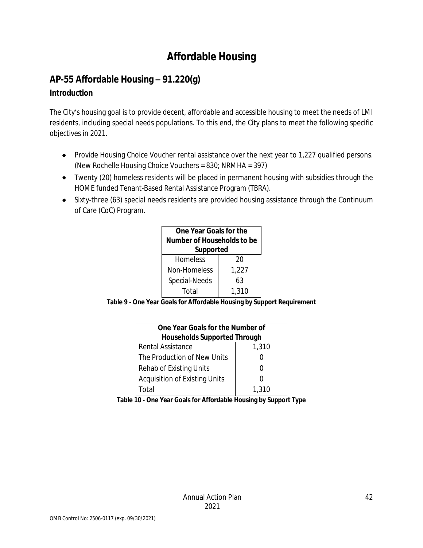# **Affordable Housing**

## **AP-55 Affordable Housing – 91.220(g) Introduction**

The City's housing goal is to provide decent, affordable and accessible housing to meet the needs of LMI residents, including special needs populations. To this end, the City plans to meet the following specific objectives in 2021.

- Provide Housing Choice Voucher rental assistance over the next year to 1,227 qualified persons. (New Rochelle Housing Choice Vouchers = 830; NRMHA = 397)
- Twenty (20) homeless residents will be placed in permanent housing with subsidies through the HOME funded Tenant-Based Rental Assistance Program (TBRA).
- Sixty-three (63) special needs residents are provided housing assistance through the Continuum of Care (CoC) Program.

| One Year Goals for the<br>Number of Households to be<br>Supported |       |  |
|-------------------------------------------------------------------|-------|--|
| <b>Homeless</b>                                                   | 20    |  |
| Non-Homeless                                                      | 1,227 |  |
| Special-Needs                                                     | 63    |  |
| Total                                                             | 1,310 |  |

|  | Table 9 - One Year Goals for Affordable Housing by Support Requirement |
|--|------------------------------------------------------------------------|
|--|------------------------------------------------------------------------|

| One Year Goals for the Number of     |       |  |
|--------------------------------------|-------|--|
| <b>Households Supported Through</b>  |       |  |
| Rental Assistance                    | 1,310 |  |
| The Production of New Units          |       |  |
| Rehab of Existing Units              |       |  |
| <b>Acquisition of Existing Units</b> |       |  |
| Total                                | 1,310 |  |

**Table 10 - One Year Goals for Affordable Housing by Support Type**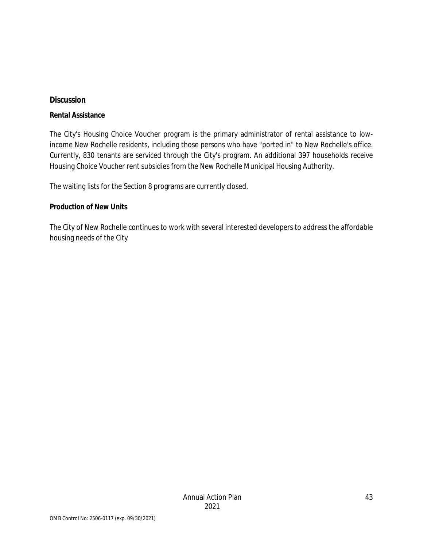#### **Discussion**

#### **Rental Assistance**

The City's Housing Choice Voucher program is the primary administrator of rental assistance to lowincome New Rochelle residents, including those persons who have "ported in" to New Rochelle's office. Currently, 830 tenants are serviced through the City's program. An additional 397 households receive Housing Choice Voucher rent subsidies from the New Rochelle Municipal Housing Authority.

The waiting lists for the Section 8 programs are currently closed.

#### **Production of New Units**

The City of New Rochelle continues to work with several interested developers to address the affordable housing needs of the City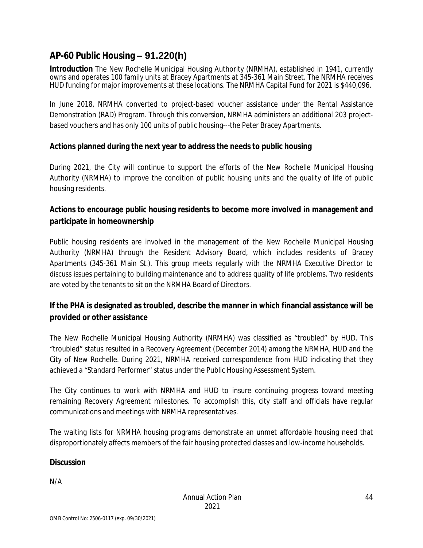## **AP-60 Public Housing** *–* **91.220(h)**

**Introduction** The New Rochelle Municipal Housing Authority (NRMHA), established in 1941, currently owns and operates 100 family units at Bracey Apartments at 345-361 Main Street. The NRMHA receives HUD funding for major improvements at these locations. The NRMHA Capital Fund for 2021 is \$440,096.

In June 2018, NRMHA converted to project-based voucher assistance under the Rental Assistance Demonstration (RAD) Program. Through this conversion, NRMHA administers an additional 203 projectbased vouchers and has only 100 units of public housing---the Peter Bracey Apartments.

#### **Actions planned during the next year to address the needs to public housing**

During 2021, the City will continue to support the efforts of the New Rochelle Municipal Housing Authority (NRMHA) to improve the condition of public housing units and the quality of life of public housing residents.

#### **Actions to encourage public housing residents to become more involved in management and participate in homeownership**

Public housing residents are involved in the management of the New Rochelle Municipal Housing Authority (NRMHA) through the Resident Advisory Board, which includes residents of Bracey Apartments (345-361 Main St.). This group meets regularly with the NRMHA Executive Director to discuss issues pertaining to building maintenance and to address quality of life problems. Two residents are voted by the tenants to sit on the NRMHA Board of Directors.

### **If the PHA is designated as troubled, describe the manner in which financial assistance will be provided or other assistance**

The New Rochelle Municipal Housing Authority (NRMHA) was classified as "troubled" by HUD. This "troubled" status resulted in a Recovery Agreement (December 2014) among the NRMHA, HUD and the City of New Rochelle. During 2021, NRMHA received correspondence from HUD indicating that they achieved a "Standard Performer" status under the Public Housing Assessment System.

The City continues to work with NRMHA and HUD to insure continuing progress toward meeting remaining Recovery Agreement milestones. To accomplish this, city staff and officials have regular communications and meetings with NRMHA representatives.

The waiting lists for NRMHA housing programs demonstrate an unmet affordable housing need that disproportionately affects members of the fair housing protected classes and low-income households.

#### **Discussion**

N/A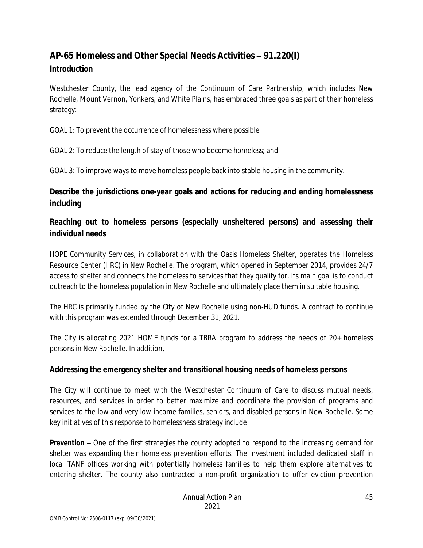# **AP-65 Homeless and Other Special Needs Activities – 91.220(I) Introduction**

Westchester County, the lead agency of the Continuum of Care Partnership, which includes New Rochelle, Mount Vernon, Yonkers, and White Plains, has embraced three goals as part of their homeless strategy:

GOAL 1: To prevent the occurrence of homelessness where possible

GOAL 2: To reduce the length of stay of those who become homeless; and

GOAL 3: To improve ways to move homeless people back into stable housing in the community.

#### **Describe the jurisdictions one-year goals and actions for reducing and ending homelessness including**

#### **Reaching out to homeless persons (especially unsheltered persons) and assessing their individual needs**

HOPE Community Services, in collaboration with the Oasis Homeless Shelter, operates the Homeless Resource Center (HRC) in New Rochelle. The program, which opened in September 2014, provides 24/7 access to shelter and connects the homeless to services that they qualify for. Its main goal is to conduct outreach to the homeless population in New Rochelle and ultimately place them in suitable housing.

The HRC is primarily funded by the City of New Rochelle using non-HUD funds. A contract to continue with this program was extended through December 31, 2021.

The City is allocating 2021 HOME funds for a TBRA program to address the needs of 20+ homeless persons in New Rochelle. In addition,

#### **Addressing the emergency shelter and transitional housing needs of homeless persons**

The City will continue to meet with the Westchester Continuum of Care to discuss mutual needs, resources, and services in order to better maximize and coordinate the provision of programs and services to the low and very low income families, seniors, and disabled persons in New Rochelle. Some key initiatives of this response to homelessness strategy include:

**Prevention** – One of the first strategies the county adopted to respond to the increasing demand for shelter was expanding their homeless prevention efforts. The investment included dedicated staff in local TANF offices working with potentially homeless families to help them explore alternatives to entering shelter. The county also contracted a non-profit organization to offer eviction prevention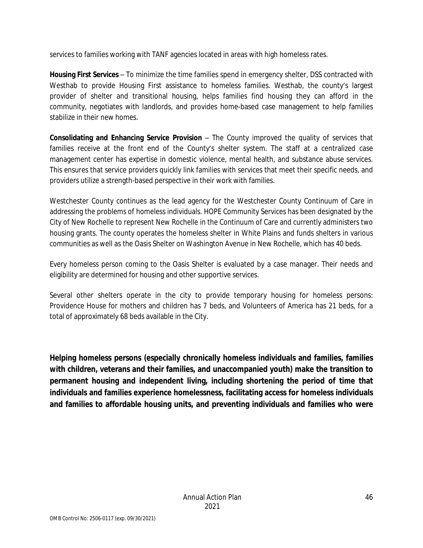services to families working with TANF agencies located in areas with high homeless rates.

**Housing First Services** – To minimize the time families spend in emergency shelter, DSS contracted with Westhab to provide Housing First assistance to homeless families. Westhab, the county's largest provider of shelter and transitional housing, helps families find housing they can afford in the community, negotiates with landlords, and provides home-based case management to help families stabilize in their new homes.

**Consolidating and Enhancing Service Provision** – The County improved the quality of services that families receive at the front end of the County's shelter system. The staff at a centralized case management center has expertise in domestic violence, mental health, and substance abuse services. This ensures that service providers quickly link families with services that meet their specific needs, and providers utilize a strength-based perspective in their work with families.

Westchester County continues as the lead agency for the Westchester County Continuum of Care in addressing the problems of homeless individuals. HOPE Community Services has been designated by the City of New Rochelle to represent New Rochelle in the Continuum of Care and currently administers two housing grants. The county operates the homeless shelter in White Plains and funds shelters in various communities as well as the Oasis Shelter on Washington Avenue in New Rochelle, which has 40 beds.

Every homeless person coming to the Oasis Shelter is evaluated by a case manager. Their needs and eligibility are determined for housing and other supportive services.

Several other shelters operate in the city to provide temporary housing for homeless persons: Providence House for mothers and children has 7 beds, and Volunteers of America has 21 beds, for a total of approximately 68 beds available in the City.

**Helping homeless persons (especially chronically homeless individuals and families, families with children, veterans and their families, and unaccompanied youth) make the transition to permanent housing and independent living, including shortening the period of time that individuals and families experience homelessness, facilitating access for homeless individuals and families to affordable housing units, and preventing individuals and families who were**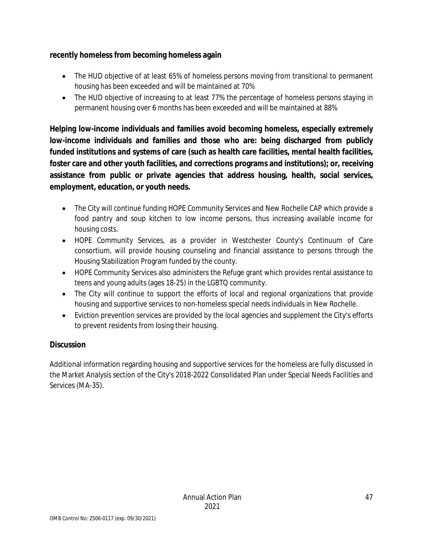#### **recently homeless from becoming homeless again**

- The HUD objective of at least 65% of homeless persons moving from transitional to permanent housing has been exceeded and will be maintained at 70%
- The HUD objective of increasing to at least 77% the percentage of homeless persons staying in permanent housing over 6 months has been exceeded and will be maintained at 88%

**Helping low-income individuals and families avoid becoming homeless, especially extremely low-income individuals and families and those who are: being discharged from publicly funded institutions and systems of care (such as health care facilities, mental health facilities, foster care and other youth facilities, and corrections programs and institutions); or, receiving assistance from public or private agencies that address housing, health, social services, employment, education, or youth needs.**

- The City will continue funding HOPE Community Services and New Rochelle CAP which provide a food pantry and soup kitchen to low income persons, thus increasing available income for housing costs.
- HOPE Community Services, as a provider in Westchester County's Continuum of Care consortium, will provide housing counseling and financial assistance to persons through the Housing Stabilization Program funded by the county.
- HOPE Community Services also administers the Refuge grant which provides rental assistance to teens and young adults (ages 18-25) in the LGBTQ community.
- The City will continue to support the efforts of local and regional organizations that provide housing and supportive services to non-homeless special needs individuals in New Rochelle.
- Eviction prevention services are provided by the local agencies and supplement the City's efforts to prevent residents from losing their housing.

#### **Discussion**

Additional information regarding housing and supportive services for the homeless are fully discussed in the Market Analysis section of the City's 2018-2022 Consolidated Plan under Special Needs Facilities and Services (MA-35).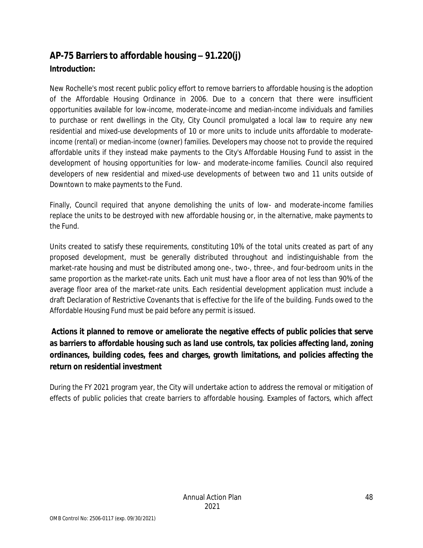# **AP-75 Barriers to affordable housing – 91.220(j) Introduction:**

New Rochelle's most recent public policy effort to remove barriers to affordable housing is the adoption of the Affordable Housing Ordinance in 2006. Due to a concern that there were insufficient opportunities available for low-income, moderate-income and median-income individuals and families to purchase or rent dwellings in the City, City Council promulgated a local law to require any new residential and mixed-use developments of 10 or more units to include units affordable to moderateincome (rental) or median-income (owner) families. Developers may choose not to provide the required affordable units if they instead make payments to the City's Affordable Housing Fund to assist in the development of housing opportunities for low- and moderate-income families. Council also required developers of new residential and mixed-use developments of between two and 11 units outside of Downtown to make payments to the Fund.

Finally, Council required that anyone demolishing the units of low- and moderate-income families replace the units to be destroyed with new affordable housing or, in the alternative, make payments to the Fund.

Units created to satisfy these requirements, constituting 10% of the total units created as part of any proposed development, must be generally distributed throughout and indistinguishable from the market-rate housing and must be distributed among one-, two-, three-, and four-bedroom units in the same proportion as the market-rate units. Each unit must have a floor area of not less than 90% of the average floor area of the market-rate units. Each residential development application must include a draft Declaration of Restrictive Covenants that is effective for the life of the building. Funds owed to the Affordable Housing Fund must be paid before any permit is issued.

**Actions it planned to remove or ameliorate the negative effects of public policies that serve as barriers to affordable housing such as land use controls, tax policies affecting land, zoning ordinances, building codes, fees and charges, growth limitations, and policies affecting the return on residential investment**

During the FY 2021 program year, the City will undertake action to address the removal or mitigation of effects of public policies that create barriers to affordable housing. Examples of factors, which affect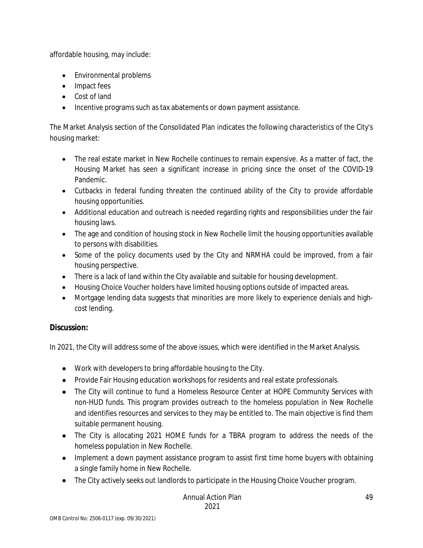affordable housing, may include:

- Environmental problems
- Impact fees
- Cost of land
- Incentive programs such as tax abatements or down payment assistance.

The Market Analysis section of the Consolidated Plan indicates the following characteristics of the City's housing market:

- The real estate market in New Rochelle continues to remain expensive. As a matter of fact, the Housing Market has seen a significant increase in pricing since the onset of the COVID-19 Pandemic.
- Cutbacks in federal funding threaten the continued ability of the City to provide affordable housing opportunities.
- Additional education and outreach is needed regarding rights and responsibilities under the fair housing laws.
- The age and condition of housing stock in New Rochelle limit the housing opportunities available to persons with disabilities.
- Some of the policy documents used by the City and NRMHA could be improved, from a fair housing perspective.
- There is a lack of land within the City available and suitable for housing development.
- Housing Choice Voucher holders have limited housing options outside of impacted areas.
- Mortgage lending data suggests that minorities are more likely to experience denials and highcost lending.

#### **Discussion:**

In 2021, the City will address some of the above issues, which were identified in the Market Analysis.

- Work with developers to bring affordable housing to the City.
- Provide Fair Housing education workshops for residents and real estate professionals.
- The City will continue to fund a Homeless Resource Center at HOPE Community Services with non-HUD funds. This program provides outreach to the homeless population in New Rochelle and identifies resources and services to they may be entitled to. The main objective is find them suitable permanent housing.
- The City is allocating 2021 HOME funds for a TBRA program to address the needs of the homeless population in New Rochelle.
- Implement a down payment assistance program to assist first time home buyers with obtaining a single family home in New Rochelle.
- The City actively seeks out landlords to participate in the Housing Choice Voucher program.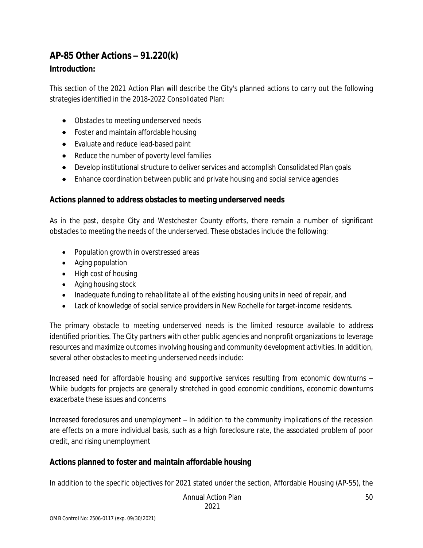# **AP-85 Other Actions – 91.220(k)**

#### **Introduction:**

This section of the 2021 Action Plan will describe the City's planned actions to carry out the following strategies identified in the 2018-2022 Consolidated Plan:

- Obstacles to meeting underserved needs
- Foster and maintain affordable housing
- Evaluate and reduce lead-based paint
- Reduce the number of poverty level families
- Develop institutional structure to deliver services and accomplish Consolidated Plan goals
- Enhance coordination between public and private housing and social service agencies

#### **Actions planned to address obstacles to meeting underserved needs**

As in the past, despite City and Westchester County efforts, there remain a number of significant obstacles to meeting the needs of the underserved. These obstacles include the following:

- Population growth in overstressed areas
- Aging population
- High cost of housing
- Aging housing stock
- Inadequate funding to rehabilitate all of the existing housing units in need of repair, and
- Lack of knowledge of social service providers in New Rochelle for target-income residents.

The primary obstacle to meeting underserved needs is the limited resource available to address identified priorities. The City partners with other public agencies and nonprofit organizations to leverage resources and maximize outcomes involving housing and community development activities. In addition, several other obstacles to meeting underserved needs include:

*Increased need for affordable housing and supportive services resulting from economic downturns* – While budgets for projects are generally stretched in good economic conditions, economic downturns exacerbate these issues and concerns

*Increased foreclosures and unemployment* – In addition to the community implications of the recession are effects on a more individual basis, such as a high foreclosure rate, the associated problem of poor credit, and rising unemployment

#### **Actions planned to foster and maintain affordable housing**

In addition to the specific objectives for 2021 stated under the section, Affordable Housing (AP-55), the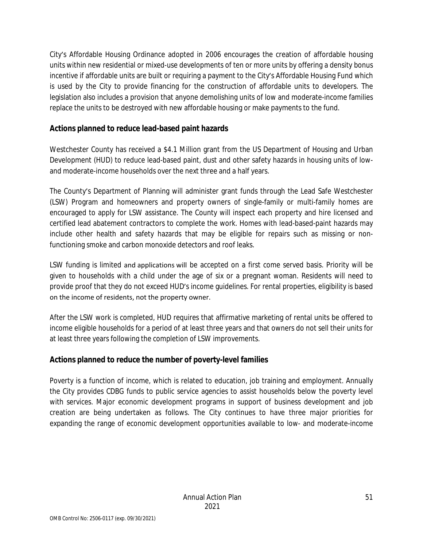City's Affordable Housing Ordinance adopted in 2006 encourages the creation of affordable housing units within new residential or mixed-use developments of ten or more units by offering a density bonus incentive if affordable units are built or requiring a payment to the City's Affordable Housing Fund which is used by the City to provide financing for the construction of affordable units to developers. The legislation also includes a provision that anyone demolishing units of low and moderate-income families replace the units to be destroyed with new affordable housing or make payments to the fund.

#### **Actions planned to reduce lead-based paint hazards**

Westchester County has received a \$4.1 Million grant from the US Department of Housing and Urban Development (HUD) to reduce lead-based paint, dust and other safety hazards in housing units of lowand moderate-income households over the next three and a half years.

The County's Department of Planning will administer grant funds through the Lead Safe Westchester (LSW) Program and homeowners and property owners of single-family or multi-family homes are encouraged to apply for LSW assistance. The County will inspect each property and hire licensed and certified lead abatement contractors to complete the work. Homes with lead-based-paint hazards may include other health and safety hazards that may be eligible for repairs such as missing or nonfunctioning smoke and carbon monoxide detectors and roof leaks.

LSW funding is limited and applications will be accepted on a first come served basis. Priority will be given to households with a child under the age of six or a pregnant woman. Residents will need to provide proof that they do not exceed HUD's income guidelines. For rental properties, eligibility is based on the income of residents, not the property owner.

After the LSW work is completed, HUD requires that affirmative marketing of rental units be offered to income eligible households for a period of at least three years and that owners do not sell their units for at least three years following the completion of LSW improvements.

#### **Actions planned to reduce the number of poverty-level families**

Poverty is a function of income, which is related to education, job training and employment. Annually the City provides CDBG funds to public service agencies to assist households below the poverty level with services. Major economic development programs in support of business development and job creation are being undertaken as follows. The City continues to have three major priorities for expanding the range of economic development opportunities available to low- and moderate-income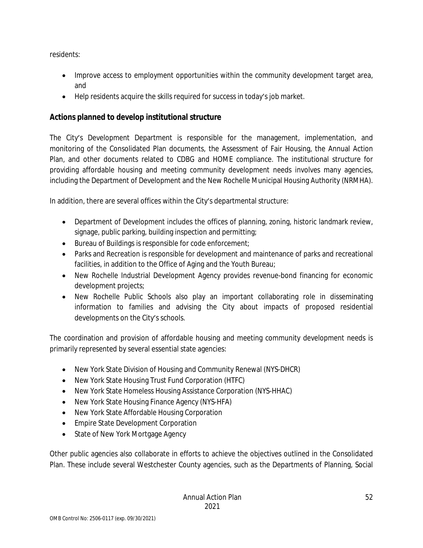residents:

- Improve access to employment opportunities within the community development target area, and
- Help residents acquire the skills required for success in today's job market.

#### **Actions planned to develop institutional structure**

The City's Development Department is responsible for the management, implementation, and monitoring of the Consolidated Plan documents, the Assessment of Fair Housing, the Annual Action Plan, and other documents related to CDBG and HOME compliance. The institutional structure for providing affordable housing and meeting community development needs involves many agencies, including the Department of Development and the New Rochelle Municipal Housing Authority (NRMHA).

In addition, there are several offices within the City's departmental structure:

- Department of Development includes the offices of planning, zoning, historic landmark review, signage, public parking, building inspection and permitting;
- **Bureau of Buildings is responsible for code enforcement;**
- Parks and Recreation is responsible for development and maintenance of parks and recreational facilities, in addition to the Office of Aging and the Youth Bureau;
- New Rochelle Industrial Development Agency provides revenue-bond financing for economic development projects;
- New Rochelle Public Schools also play an important collaborating role in disseminating information to families and advising the City about impacts of proposed residential developments on the City's schools.

The coordination and provision of affordable housing and meeting community development needs is primarily represented by several essential state agencies:

- New York State Division of Housing and Community Renewal (NYS-DHCR)
- New York State Housing Trust Fund Corporation (HTFC)
- New York State Homeless Housing Assistance Corporation (NYS-HHAC)
- New York State Housing Finance Agency (NYS-HFA)
- New York State Affordable Housing Corporation
- **•** Empire State Development Corporation
- State of New York Mortgage Agency

Other public agencies also collaborate in efforts to achieve the objectives outlined in the Consolidated Plan. These include several Westchester County agencies, such as the Departments of Planning, Social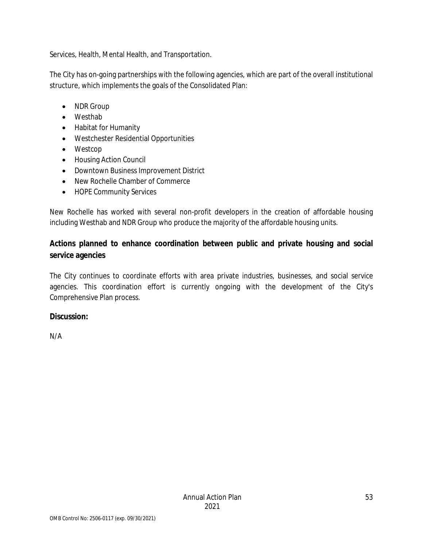Services, Health, Mental Health, and Transportation.

The City has on-going partnerships with the following agencies, which are part of the overall institutional structure, which implements the goals of the Consolidated Plan:

- NDR Group
- Westhab
- Habitat for Humanity
- Westchester Residential Opportunities
- Westcop
- Housing Action Council
- Downtown Business Improvement District
- New Rochelle Chamber of Commerce
- HOPE Community Services

New Rochelle has worked with several non-profit developers in the creation of affordable housing including Westhab and NDR Group who produce the majority of the affordable housing units.

#### **Actions planned to enhance coordination between public and private housing and social service agencies**

The City continues to coordinate efforts with area private industries, businesses, and social service agencies. This coordination effort is currently ongoing with the development of the City's Comprehensive Plan process.

#### **Discussion:**

N/A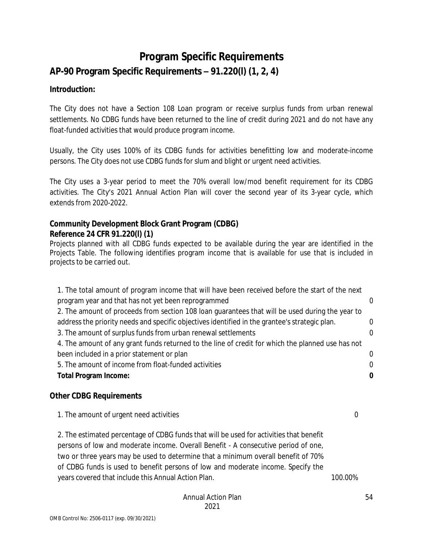# **Program Specific Requirements**

## **AP-90 Program Specific Requirements – 91.220(l) (1, 2, 4)**

#### **Introduction:**

The City does not have a Section 108 Loan program or receive surplus funds from urban renewal settlements. No CDBG funds have been returned to the line of credit during 2021 and do not have any float-funded activities that would produce program income.

Usually, the City uses 100% of its CDBG funds for activities benefitting low and moderate-income persons. The City does not use CDBG funds for slum and blight or urgent need activities.

The City uses a 3-year period to meet the 70% overall low/mod benefit requirement for its CDBG activities. The City's 2021 Annual Action Plan will cover the second year of its 3-year cycle, which extends from 2020-2022.

#### **Community Development Block Grant Program (CDBG) Reference 24 CFR 91.220(l) (1)**

Projects planned with all CDBG funds expected to be available during the year are identified in the Projects Table. The following identifies program income that is available for use that is included in projects to be carried out.

| 1. The total amount of program income that will have been received before the start of the next<br>program year and that has not yet been reprogrammed | O                |
|--------------------------------------------------------------------------------------------------------------------------------------------------------|------------------|
| 2. The amount of proceeds from section 108 loan guarantees that will be used during the year to                                                        |                  |
| address the priority needs and specific objectives identified in the grantee's strategic plan.                                                         | $\Omega$         |
| 3. The amount of surplus funds from urban renewal settlements                                                                                          | ∩                |
| 4. The amount of any grant funds returned to the line of credit for which the planned use has not                                                      |                  |
| been included in a prior statement or plan                                                                                                             | $\Omega$         |
| 5. The amount of income from float-funded activities                                                                                                   | $\Omega$         |
| <b>Total Program Income:</b>                                                                                                                           | $\boldsymbol{0}$ |
|                                                                                                                                                        |                  |

#### **Other CDBG Requirements**

| 1. The amount of urgent need activities |  |
|-----------------------------------------|--|
|-----------------------------------------|--|

2. The estimated percentage of CDBG funds that will be used for activities that benefit persons of low and moderate income. Overall Benefit - A consecutive period of one, two or three years may be used to determine that a minimum overall benefit of 70% of CDBG funds is used to benefit persons of low and moderate income. Specify the years covered that include this Annual Action Plan. 100.00% 100.00%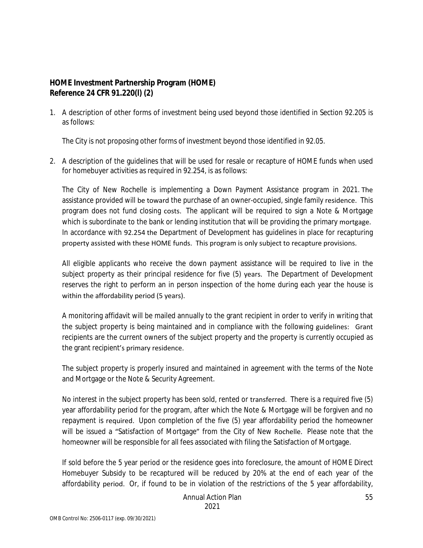#### **HOME Investment Partnership Program (HOME) Reference 24 CFR 91.220(l) (2)**

1. A description of other forms of investment being used beyond those identified in Section 92.205 is as follows:

The City is not proposing other forms of investment beyond those identified in 92.05.

2. A description of the guidelines that will be used for resale or recapture of HOME funds when used for homebuyer activities as required in 92.254, is as follows:

The City of New Rochelle is implementing a Down Payment Assistance program in 2021. The assistance provided will be toward the purchase of an owner-occupied, single family residence. This program does not fund closing costs. The applicant will be required to sign a Note & Mortgage which is subordinate to the bank or lending institution that will be providing the primary mortgage. In accordance with 92.254 the Department of Development has guidelines in place for recapturing property assisted with these HOME funds. This program is only subject to recapture provisions.

All eligible applicants who receive the down payment assistance will be required to live in the subject property as their principal residence for five (5) years. The Department of Development reserves the right to perform an in person inspection of the home during each year the house is within the affordability period (5 years).

A monitoring affidavit will be mailed annually to the grant recipient in order to verify in writing that the subject property is being maintained and in compliance with the following guidelines: Grant recipients are the current owners of the subject property and the property is currently occupied as the grant recipient's primary residence.

The subject property is properly insured and maintained in agreement with the terms of the Note and Mortgage or the Note & Security Agreement.

No interest in the subject property has been sold, rented or transferred. There is a required five (5) year affordability period for the program, after which the Note & Mortgage will be forgiven and no repayment is required. Upon completion of the five (5) year affordability period the homeowner will be issued a "Satisfaction of Mortgage" from the City of New Rochelle. Please note that the homeowner will be responsible for all fees associated with filing the Satisfaction of Mortgage.

If sold before the 5 year period or the residence goes into foreclosure, the amount of HOME Direct Homebuyer Subsidy to be recaptured will be reduced by 20% at the end of each year of the affordability period. Or, if found to be in violation of the restrictions of the 5 year affordability,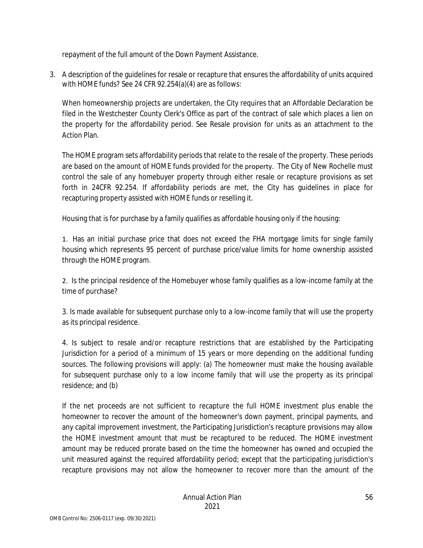repayment of the full amount of the Down Payment Assistance.

3. A description of the guidelines for resale or recapture that ensures the affordability of units acquired with HOME funds? See 24 CFR 92.254(a)(4) are as follows:

When homeownership projects are undertaken, the City requires that an Affordable Declaration be filed in the Westchester County Clerk's Office as part of the contract of sale which places a lien on the property for the affordability period. See Resale provision for units as an attachment to the Action Plan.

The HOME program sets affordability periods that relate to the resale of the property. These periods are based on the amount of HOME funds provided for the property. The City of New Rochelle must control the sale of any homebuyer property through either resale or recapture provisions as set forth in 24CFR 92.254. If affordability periods are met, the City has guidelines in place for recapturing property assisted with HOME funds or reselling it.

Housing that is for purchase by a family qualifies as affordable housing only if the housing:

1. Has an initial purchase price that does not exceed the FHA mortgage limits for single family housing which represents 95 percent of purchase price/value limits for home ownership assisted through the HOME program.

2. Is the principal residence of the Homebuyer whose family qualifies as a low-income family at the time of purchase?

3. Is made available for subsequent purchase only to a low-income family that will use the property as its principal residence.

4. Is subject to resale and/or recapture restrictions that are established by the Participating Jurisdiction for a period of a minimum of 15 years or more depending on the additional funding sources. The following provisions will apply: (a) The homeowner must make the housing available for subsequent purchase only to a low income family that will use the property as its principal residence; and (b)

If the net proceeds are not sufficient to recapture the full HOME investment plus enable the homeowner to recover the amount of the homeowner's down payment, principal payments, and any capital improvement investment, the Participating Jurisdiction's recapture provisions may allow the HOME investment amount that must be recaptured to be reduced. The HOME investment amount may be reduced prorate based on the time the homeowner has owned and occupied the unit measured against the required affordability period; except that the participating jurisdiction's recapture provisions may not allow the homeowner to recover more than the amount of the